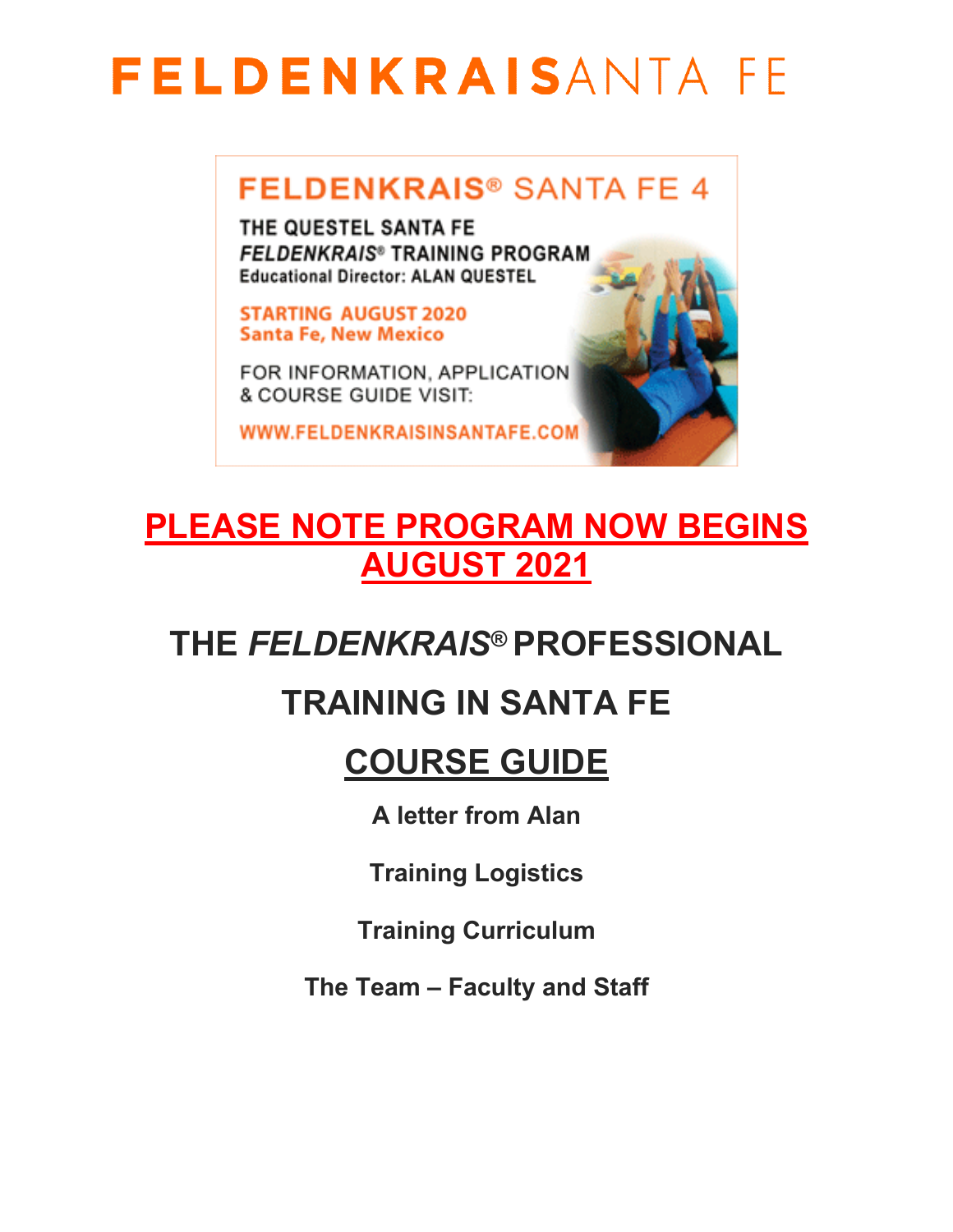### **FELDENKRAIS® SANTA FE 4**

THE QUESTEL SANTA FE **FELDENKRAIS® TRAINING PROGRAM Educational Director: ALAN QUESTEL** 

**STARTING AUGUST 2020 Santa Fe, New Mexico** 

FOR INFORMATION, APPLICATION & COURSE GUIDE VISIT:

WWW.FELDENKRAISINSANTAFE.COM

### **PLEASE NOTE PROGRAM NOW BEGINS AUGUST 2021**

### **THE** *FELDENKRAIS***® PROFESSIONAL**

### **TRAINING IN SANTA FE**

### **COURSE GUIDE**

**A letter from Alan**

**Training Logistics**

**Training Curriculum**

**The Team – Faculty and Staff**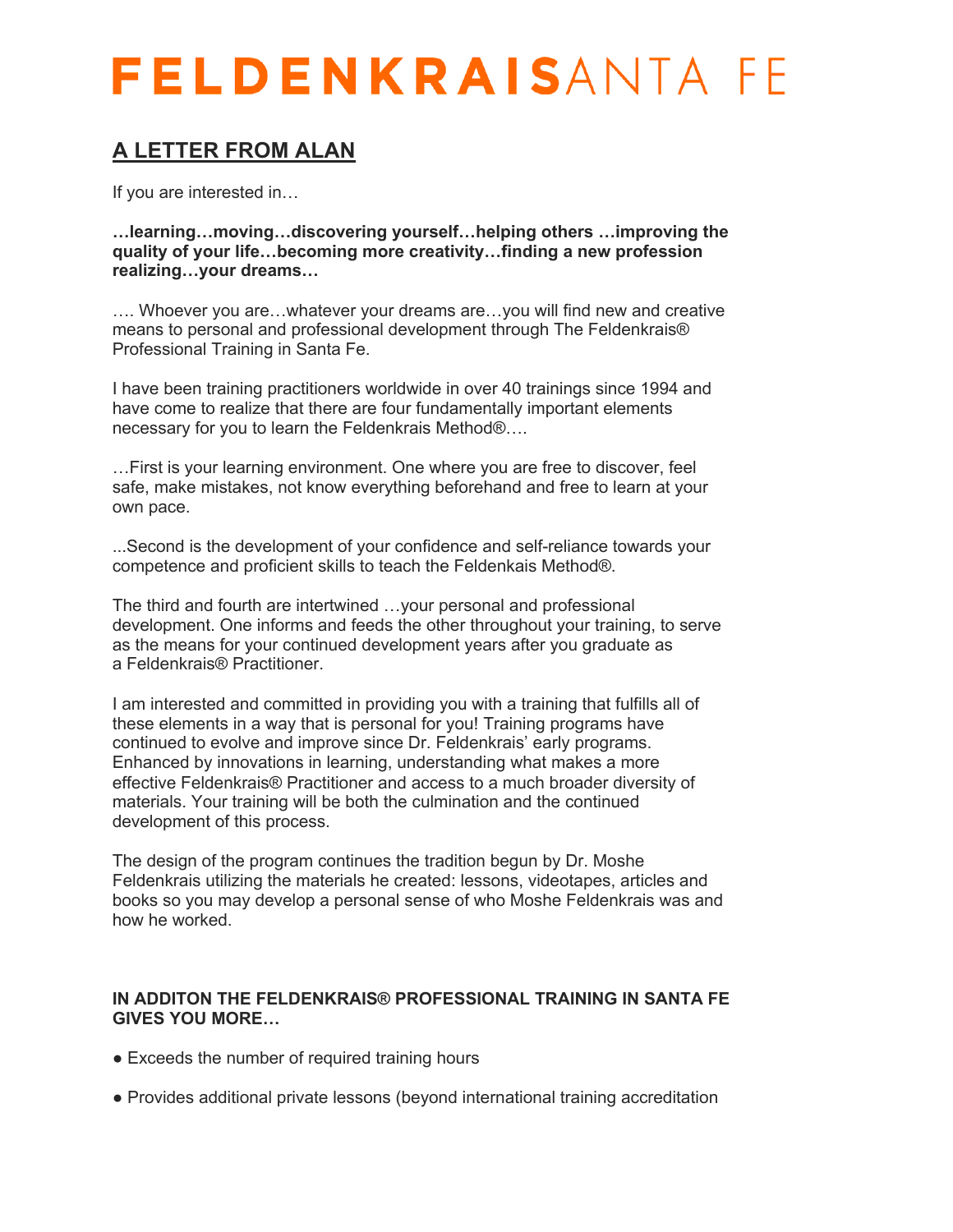### **A LETTER FROM ALAN**

If you are interested in…

**…learning…moving…discovering yourself…helping others …improving the quality of your life…becoming more creativity…finding a new profession realizing…your dreams…**

…. Whoever you are…whatever your dreams are…you will find new and creative means to personal and professional development through The Feldenkrais® Professional Training in Santa Fe.

I have been training practitioners worldwide in over 40 trainings since 1994 and have come to realize that there are four fundamentally important elements necessary for you to learn the Feldenkrais Method®….

…First is your learning environment. One where you are free to discover, feel safe, make mistakes, not know everything beforehand and free to learn at your own pace.

...Second is the development of your confidence and self-reliance towards your competence and proficient skills to teach the Feldenkais Method®.

The third and fourth are intertwined …your personal and professional development. One informs and feeds the other throughout your training, to serve as the means for your continued development years after you graduate as a Feldenkrais® Practitioner.

I am interested and committed in providing you with a training that fulfills all of these elements in a way that is personal for you! Training programs have continued to evolve and improve since Dr. Feldenkrais' early programs. Enhanced by innovations in learning, understanding what makes a more effective Feldenkrais® Practitioner and access to a much broader diversity of materials. Your training will be both the culmination and the continued development of this process.

The design of the program continues the tradition begun by Dr. Moshe Feldenkrais utilizing the materials he created: lessons, videotapes, articles and books so you may develop a personal sense of who Moshe Feldenkrais was and how he worked.

#### **IN ADDITON THE FELDENKRAIS® PROFESSIONAL TRAINING IN SANTA FE GIVES YOU MORE…**

- Exceeds the number of required training hours
- Provides additional private lessons (beyond international training accreditation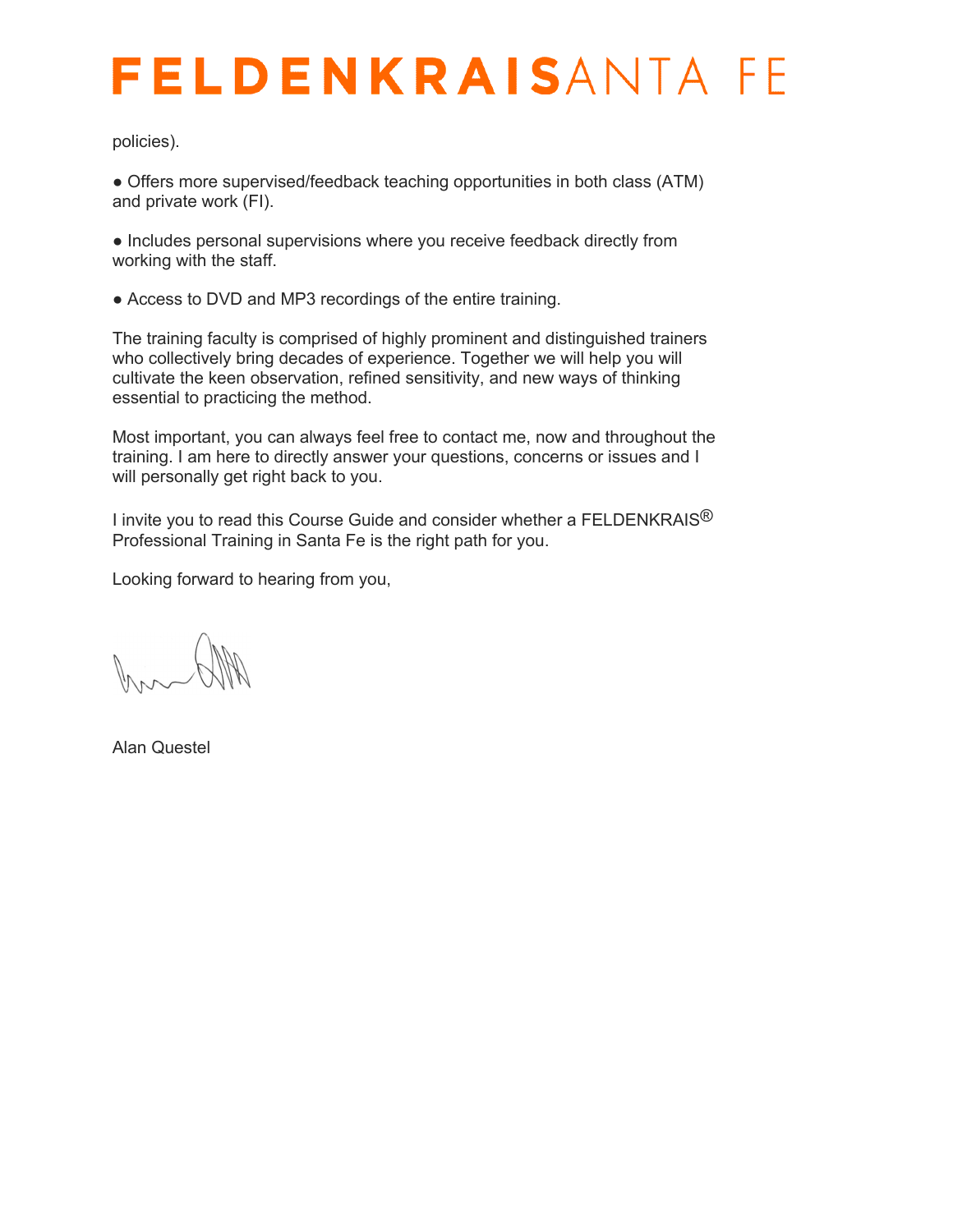policies).

● Offers more supervised/feedback teaching opportunities in both class (ATM) and private work (FI).

● Includes personal supervisions where you receive feedback directly from working with the staff.

• Access to DVD and MP3 recordings of the entire training.

The training faculty is comprised of highly prominent and distinguished trainers who collectively bring decades of experience. Together we will help you will cultivate the keen observation, refined sensitivity, and new ways of thinking essential to practicing the method.

Most important, you can always feel free to contact me, now and throughout the training. I am here to directly answer your questions, concerns or issues and I will personally get right back to you.

I invite you to read this Course Guide and consider whether a FELDENKRAIS $^{\circledR}$ Professional Training in Santa Fe is the right path for you.

Looking forward to hearing from you,

Alan Questel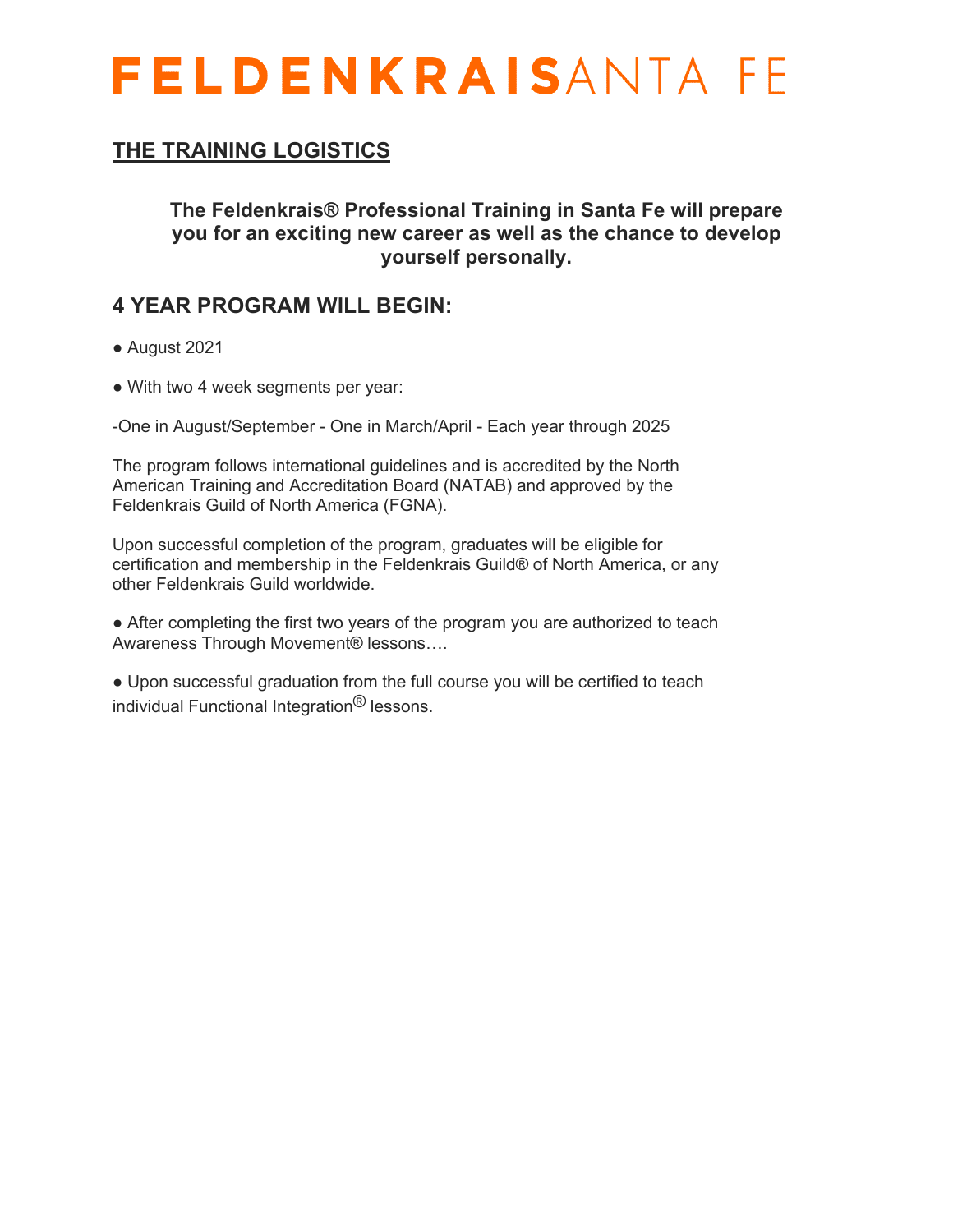### **THE TRAINING LOGISTICS**

**The Feldenkrais® Professional Training in Santa Fe will prepare you for an exciting new career as well as the chance to develop yourself personally.**

### **4 YEAR PROGRAM WILL BEGIN:**

- August 2021
- With two 4 week segments per year:

-One in August/September - One in March/April - Each year through 2025

The program follows international guidelines and is accredited by the North American Training and Accreditation Board (NATAB) and approved by the Feldenkrais Guild of North America (FGNA).

Upon successful completion of the program, graduates will be eligible for certification and membership in the Feldenkrais Guild® of North America, or any other Feldenkrais Guild worldwide.

• After completing the first two years of the program you are authorized to teach Awareness Through Movement® lessons….

● Upon successful graduation from the full course you will be certified to teach individual Functional Integration® lessons.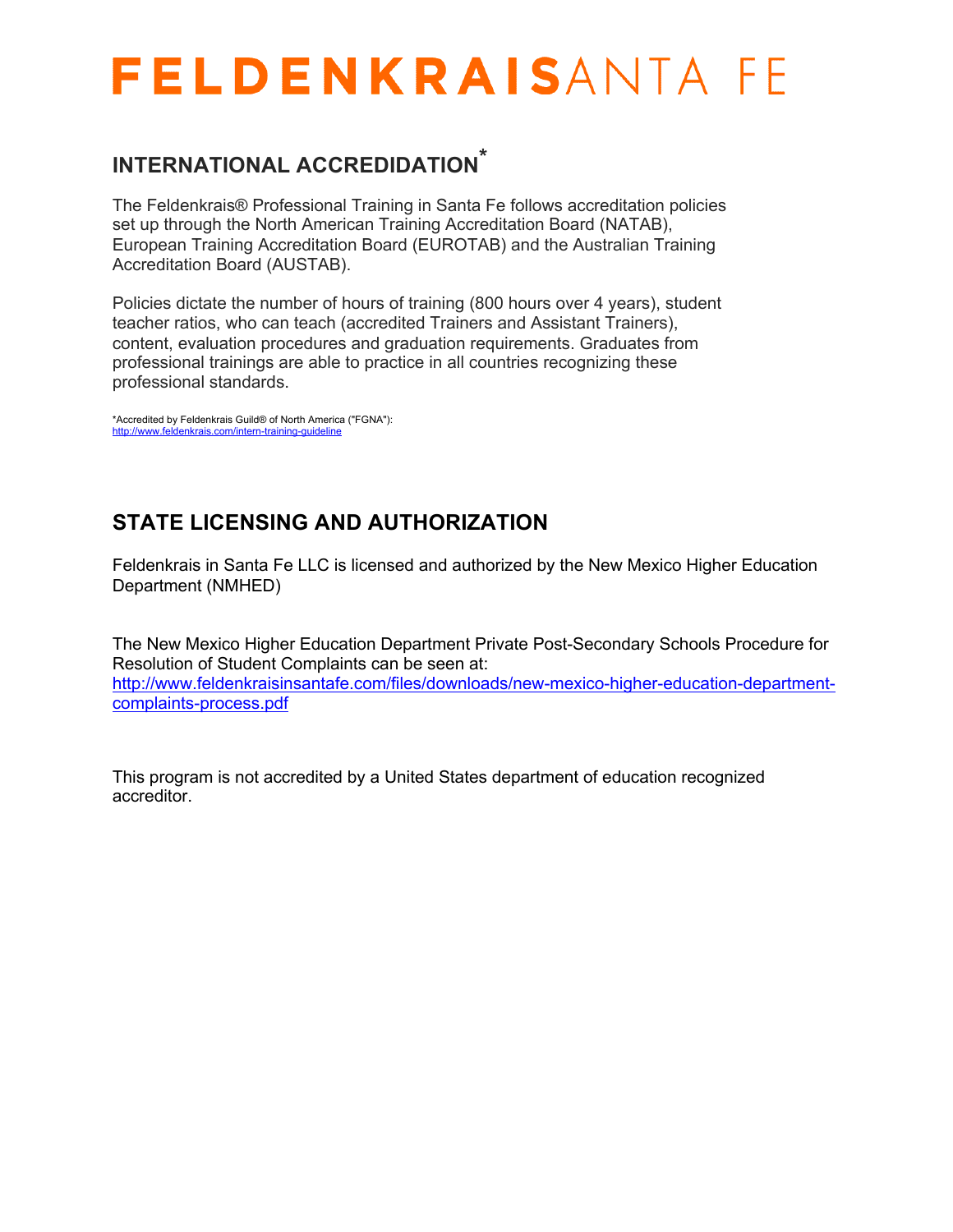### **INTERNATIONAL ACCREDIDATION \***

The Feldenkrais® Professional Training in Santa Fe follows accreditation policies set up through the North American Training Accreditation Board (NATAB), European Training Accreditation Board (EUROTAB) and the Australian Training Accreditation Board (AUSTAB).

Policies dictate the number of hours of training (800 hours over 4 years), student teacher ratios, who can teach (accredited Trainers and Assistant Trainers), content, evaluation procedures and graduation requirements. Graduates from professional trainings are able to practice in all countries recognizing these professional standards.

\*Accredited by Feldenkrais Guild® of North America ("FGNA"): http://www.feldenkrais.com/intern-training-guideline

### **STATE LICENSING AND AUTHORIZATION**

Feldenkrais in Santa Fe LLC is licensed and authorized by the New Mexico Higher Education Department (NMHED)

The New Mexico Higher Education Department Private Post-Secondary Schools Procedure for Resolution of Student Complaints can be seen at: http://www.feldenkraisinsantafe.com/files/downloads/new-mexico-higher-education-departmentcomplaints-process.pdf

This program is not accredited by a United States department of education recognized accreditor.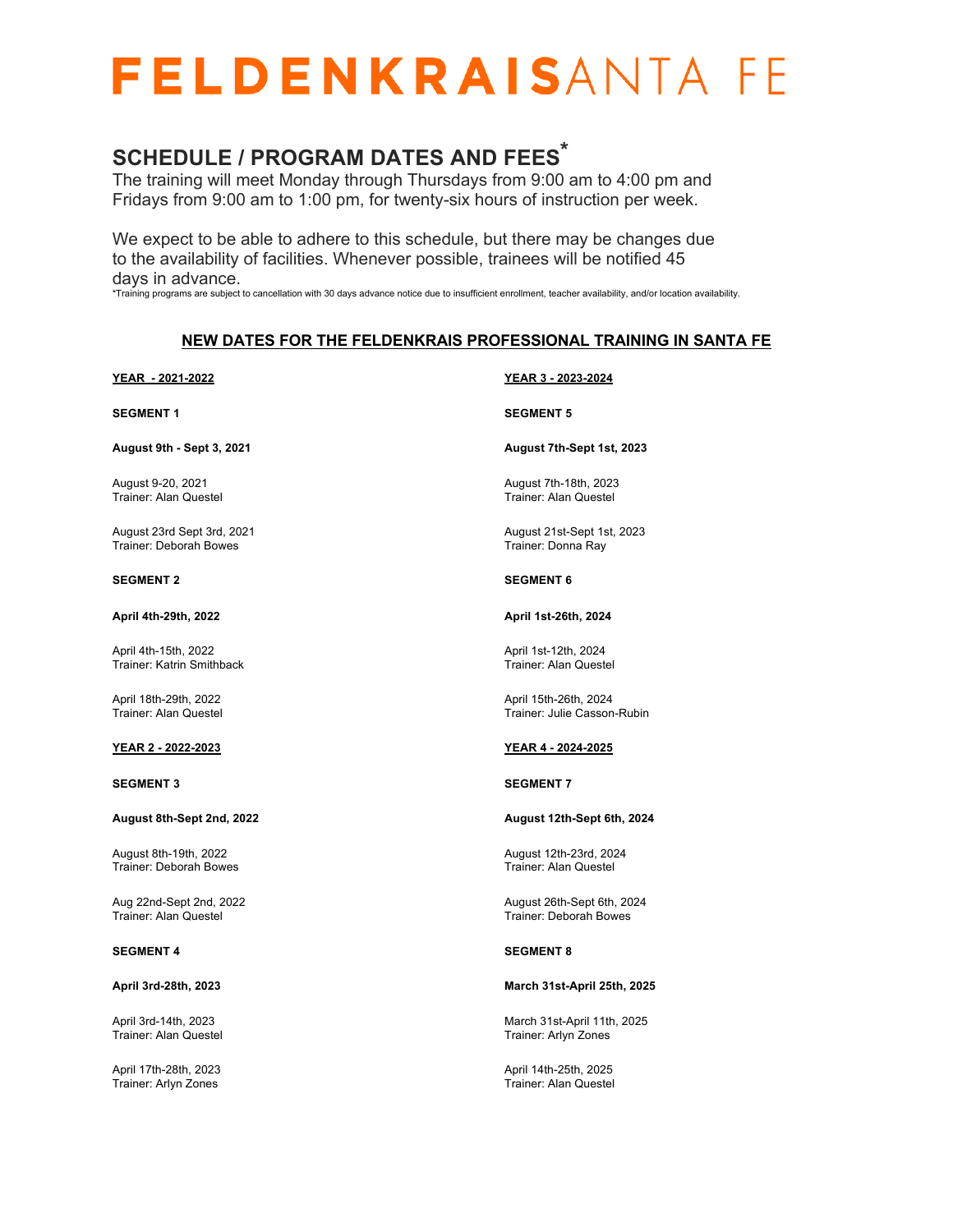### **SCHEDULE / PROGRAM DATES AND FEES \***

The training will meet Monday through Thursdays from 9:00 am to 4:00 pm and Fridays from 9:00 am to 1:00 pm, for twenty-six hours of instruction per week.

We expect to be able to adhere to this schedule, but there may be changes due to the availability of facilities. Whenever possible, trainees will be notified 45 days in advance.

\*Training programs are subject to cancellation with 30 days advance notice due to insufficient enrollment, teacher availability, and/or location availability.

#### **NEW DATES FOR THE FELDENKRAIS PROFESSIONAL TRAINING IN SANTA FE**

**YEAR - 2021-2022 SEGMENT 1 August 9th - Sept 3, 2021** August 9-20, 2021 Trainer: Alan Questel August 23rd Sept 3rd, 2021 Trainer: Deborah Bowes **SEGMENT 2 April 4th-29th, 2022** April 4th-15th, 2022 Trainer: Katrin Smithback April 18th-29th, 2022 Trainer: Alan Questel **YEAR 2 - 2022-2023 SEGMENT 3 August 8th-Sept 2nd, 2022** August 8th-19th, 2022 Trainer: Deborah Bowes Aug 22nd-Sept 2nd, 2022 Trainer: Alan Questel **SEGMENT 4 April 3rd-28th, 2023** April 3rd-14th, 2023 Trainer: Alan Questel **YEAR 3 - 2023-2024 SEGMENT 5 August 7th-Sept 1st, 2023** August 7th-18th, 2023 Trainer: Alan Questel August 21st-Sept 1st, 2023 Trainer: Donna Ray **SEGMENT 6 April 1st-26th, 2024** April 1st-12th, 2024 Trainer: Alan Questel April 15th-26th, 2024 Trainer: Julie Casson-Rubin **YEAR 4 - 2024-2025 SEGMENT 7 August 12th-Sept 6th, 2024** August 12th-23rd, 2024 Trainer: Alan Questel August 26th-Sept 6th, 2024 Trainer: Deborah Bowes **SEGMENT 8 March 31st-April 25th, 2025** March 31st-April 11th, 2025 Trainer: Arlyn Zones

April 17th-28th, 2023 Trainer: Arlyn Zones

April 14th-25th, 2025 Trainer: Alan Questel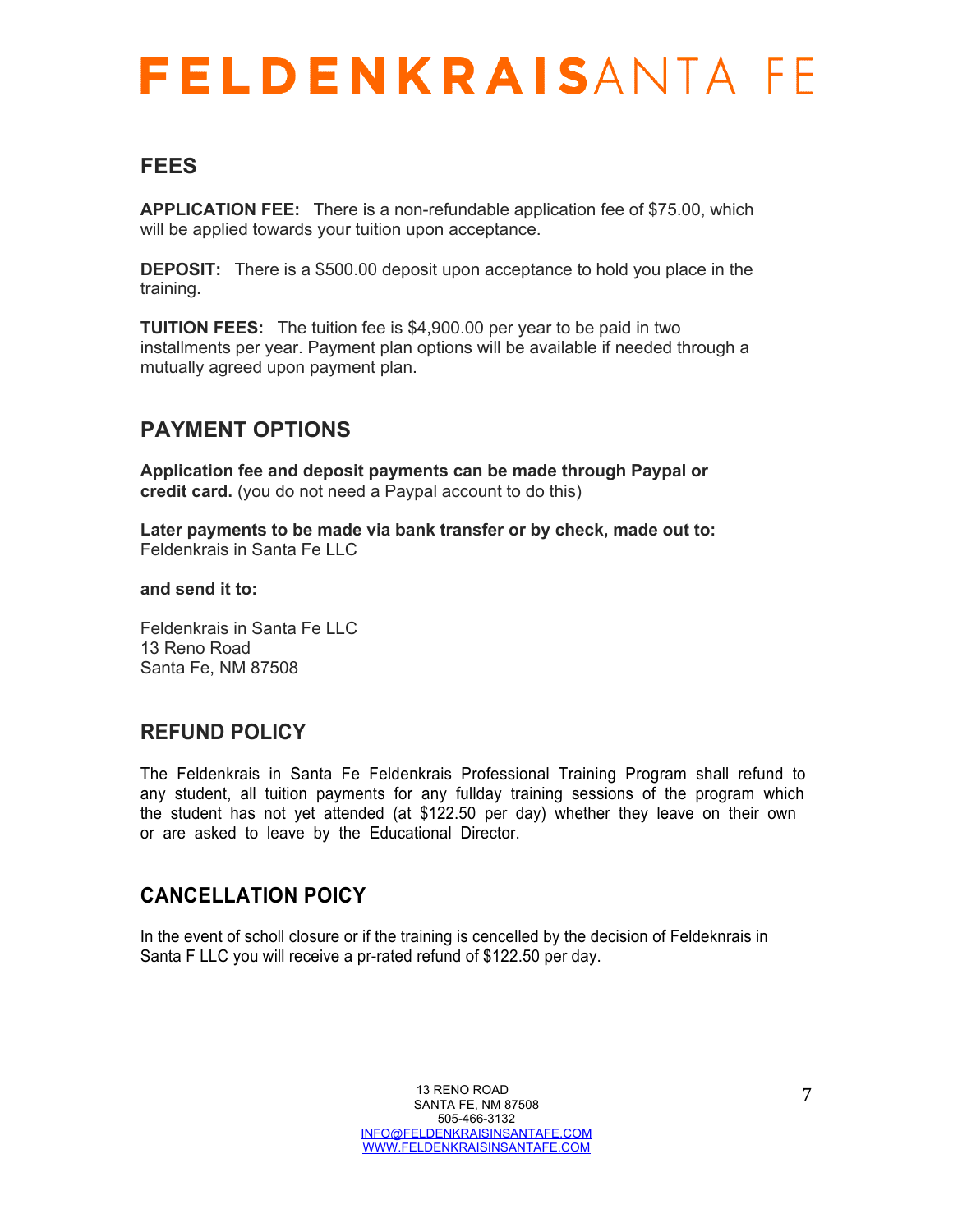### **FEES**

**APPLICATION FEE:** There is a non-refundable application fee of \$75.00, which will be applied towards your tuition upon acceptance.

**DEPOSIT:** There is a \$500.00 deposit upon acceptance to hold you place in the training.

**TUITION FEES:** The tuition fee is \$4,900.00 per year to be paid in two installments per year. Payment plan options will be available if needed through a mutually agreed upon payment plan.

### **PAYMENT OPTIONS**

**Application fee and deposit payments can be made through Paypal or credit card.** (you do not need a Paypal account to do this)

**Later payments to be made via bank transfer or by check, made out to:** Feldenkrais in Santa Fe LLC

#### **and send it to:**

Feldenkrais in Santa Fe LLC 13 Reno Road Santa Fe, NM 87508

### **REFUND POLICY**

The Feldenkrais in Santa Fe Feldenkrais Professional Training Program shall refund to any student, all tuition payments for any fullday training sessions of the program which the student has not yet attended (at \$122.50 per day) whether they leave on their own or are asked to leave by the Educational Director.

### **CANCELLATION POICY**

In the event of scholl closure or if the training is cencelled by the decision of Feldeknrais in Santa F LLC you will receive a pr-rated refund of \$122.50 per day.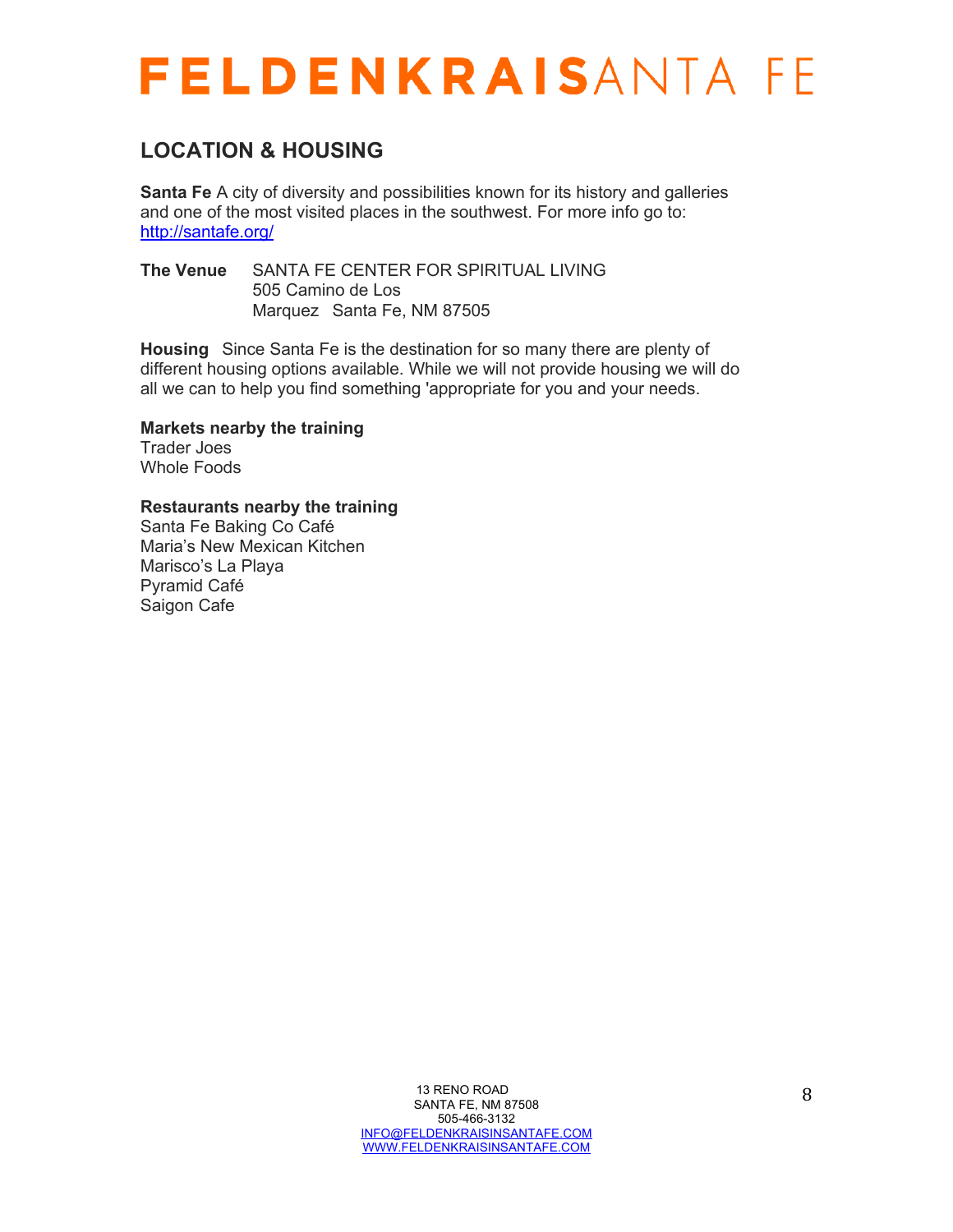### **LOCATION & HOUSING**

**Santa Fe** A city of diversity and possibilities known for its history and galleries and one of the most visited places in the southwest. For more info go to: http://santafe.org/

**The Venue** SANTA FE CENTER FOR SPIRITUAL LIVING 505 Camino de Los Marquez Santa Fe, NM 87505

**Housing** Since Santa Fe is the destination for so many there are plenty of different housing options available. While we will not provide housing we will do all we can to help you find something 'appropriate for you and your needs.

**Markets nearby the training**

Trader Joes Whole Foods

**Restaurants nearby the training**

Santa Fe Baking Co Café Maria's New Mexican Kitchen Marisco's La Playa Pyramid Café Saigon Cafe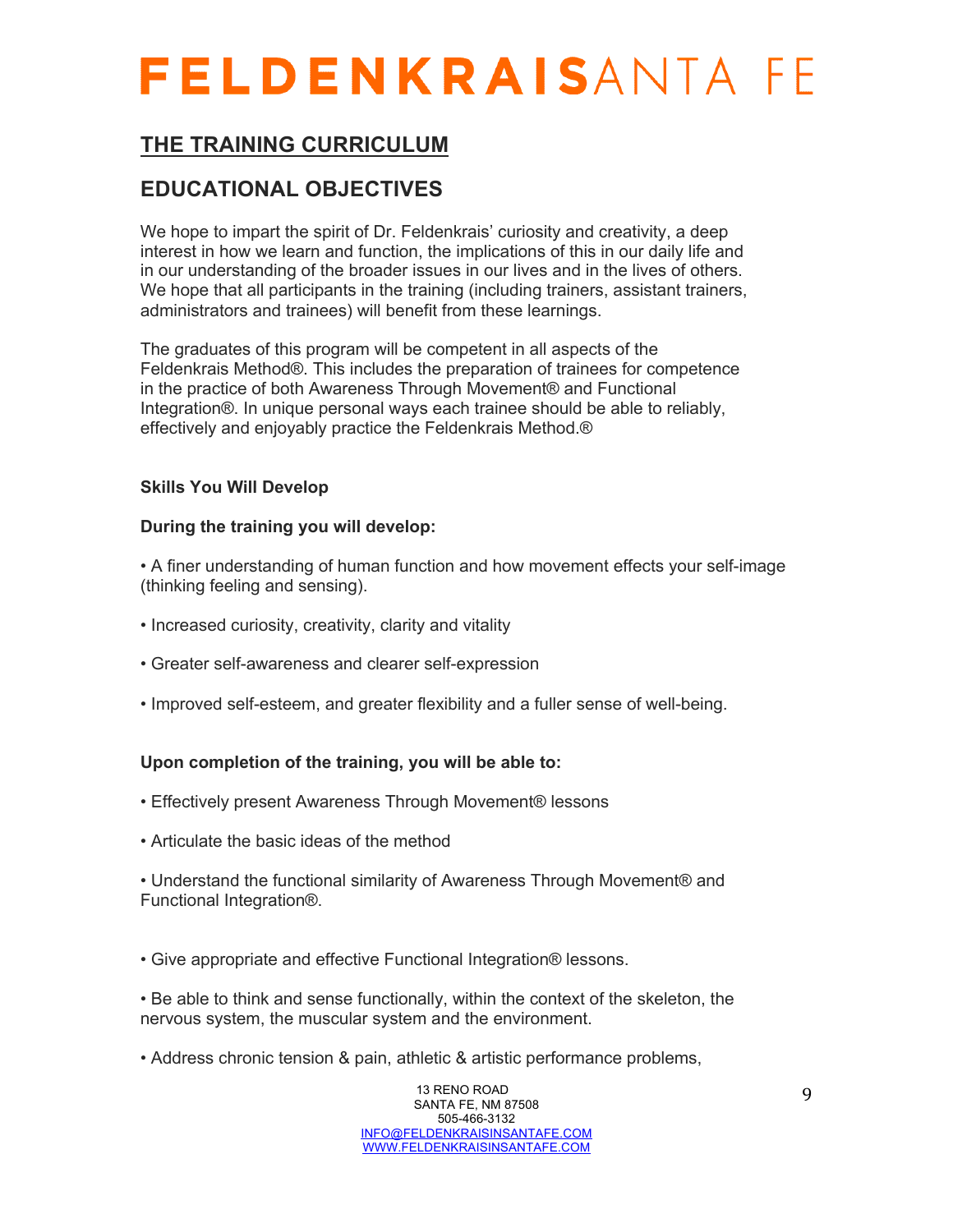### **THE TRAINING CURRICULUM**

### **EDUCATIONAL OBJECTIVES**

We hope to impart the spirit of Dr. Feldenkrais' curiosity and creativity, a deep interest in how we learn and function, the implications of this in our daily life and in our understanding of the broader issues in our lives and in the lives of others. We hope that all participants in the training (including trainers, assistant trainers, administrators and trainees) will benefit from these learnings.

The graduates of this program will be competent in all aspects of the Feldenkrais Method®. This includes the preparation of trainees for competence in the practice of both Awareness Through Movement® and Functional Integration®. In unique personal ways each trainee should be able to reliably, effectively and enjoyably practice the Feldenkrais Method.®

#### **Skills You Will Develop**

#### **During the training you will develop:**

- A finer understanding of human function and how movement effects your self-image (thinking feeling and sensing).
- Increased curiosity, creativity, clarity and vitality
- Greater self-awareness and clearer self-expression
- Improved self-esteem, and greater flexibility and a fuller sense of well-being.

#### **Upon completion of the training, you will be able to:**

- Effectively present Awareness Through Movement® lessons
- Articulate the basic ideas of the method

• Understand the functional similarity of Awareness Through Movement® and Functional Integration®.

• Give appropriate and effective Functional Integration® lessons.

- Be able to think and sense functionally, within the context of the skeleton, the nervous system, the muscular system and the environment.
- Address chronic tension & pain, athletic & artistic performance problems,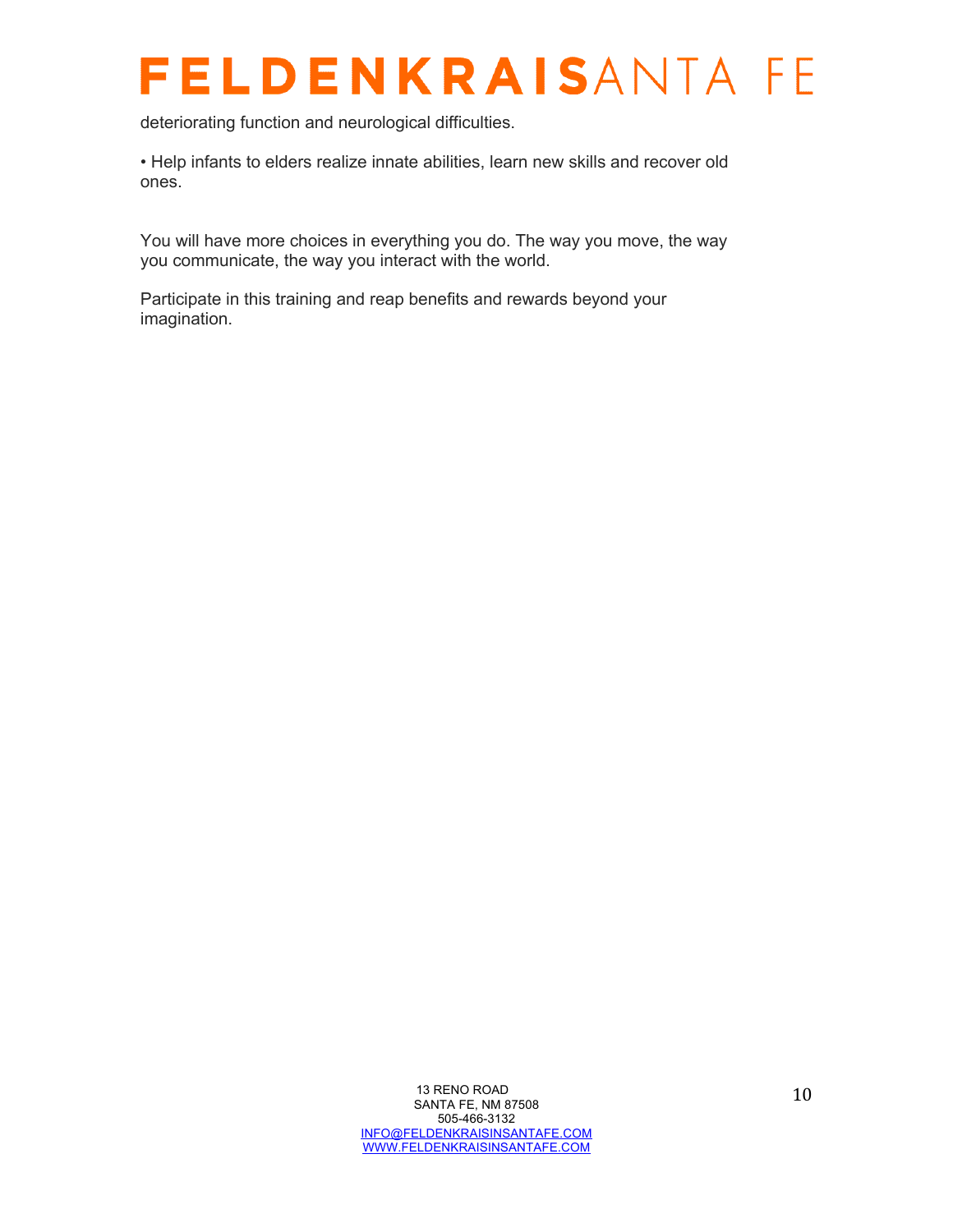deteriorating function and neurological difficulties.

• Help infants to elders realize innate abilities, learn new skills and recover old ones.

You will have more choices in everything you do. The way you move, the way you communicate, the way you interact with the world.

Participate in this training and reap benefits and rewards beyond your imagination.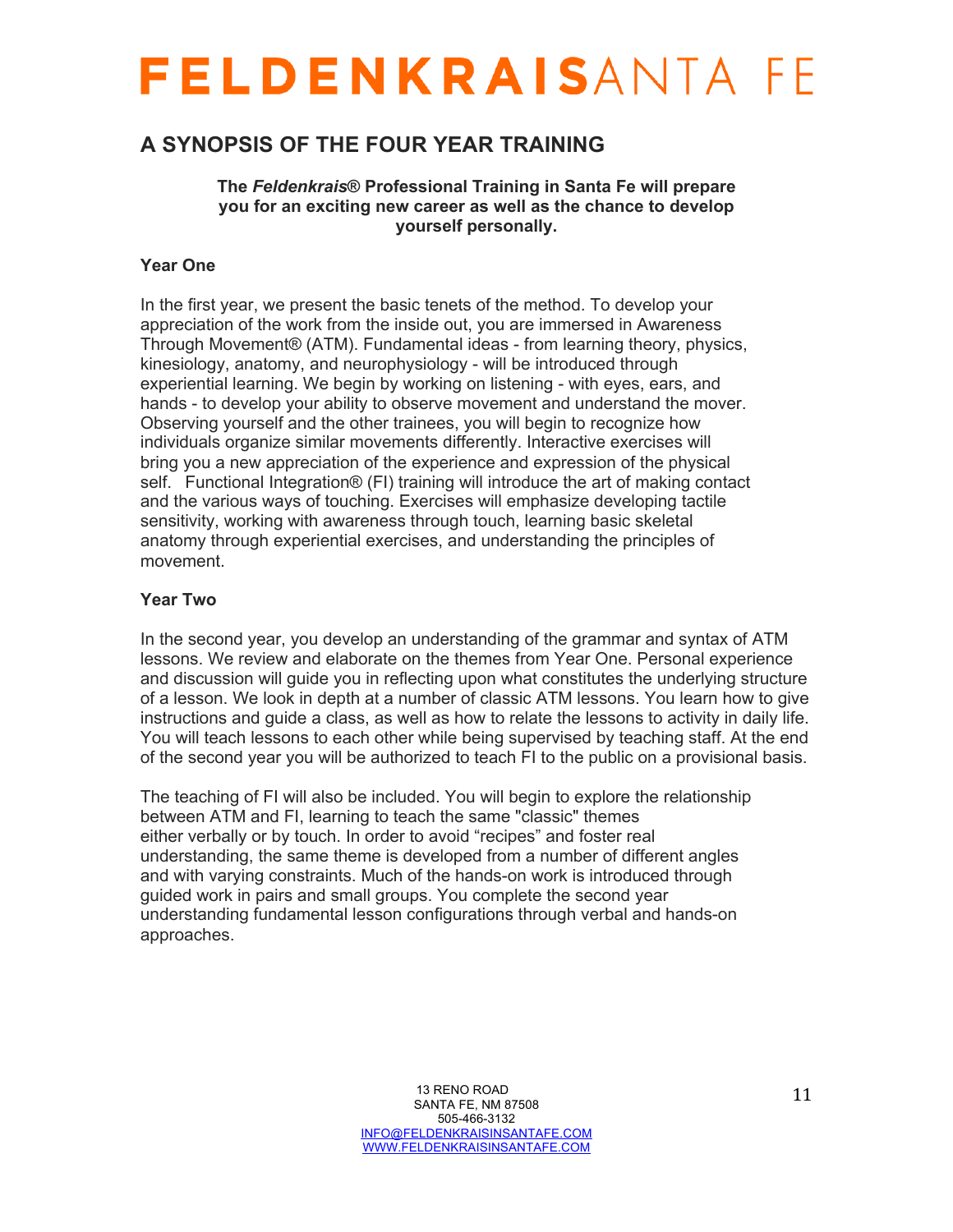### **A SYNOPSIS OF THE FOUR YEAR TRAINING**

**The** *Feldenkrais***® Professional Training in Santa Fe will prepare you for an exciting new career as well as the chance to develop yourself personally.**

#### **Year One**

In the first year, we present the basic tenets of the method. To develop your appreciation of the work from the inside out, you are immersed in Awareness Through Movement® (ATM). Fundamental ideas - from learning theory, physics, kinesiology, anatomy, and neurophysiology - will be introduced through experiential learning. We begin by working on listening - with eyes, ears, and hands - to develop your ability to observe movement and understand the mover. Observing yourself and the other trainees, you will begin to recognize how individuals organize similar movements differently. Interactive exercises will bring you a new appreciation of the experience and expression of the physical self. Functional Integration® (FI) training will introduce the art of making contact and the various ways of touching. Exercises will emphasize developing tactile sensitivity, working with awareness through touch, learning basic skeletal anatomy through experiential exercises, and understanding the principles of movement.

#### **Year Two**

In the second year, you develop an understanding of the grammar and syntax of ATM lessons. We review and elaborate on the themes from Year One. Personal experience and discussion will guide you in reflecting upon what constitutes the underlying structure of a lesson. We look in depth at a number of classic ATM lessons. You learn how to give instructions and guide a class, as well as how to relate the lessons to activity in daily life. You will teach lessons to each other while being supervised by teaching staff. At the end of the second year you will be authorized to teach FI to the public on a provisional basis.

The teaching of FI will also be included. You will begin to explore the relationship between ATM and FI, learning to teach the same "classic" themes either verbally or by touch. In order to avoid "recipes" and foster real understanding, the same theme is developed from a number of different angles and with varying constraints. Much of the hands-on work is introduced through guided work in pairs and small groups. You complete the second year understanding fundamental lesson configurations through verbal and hands-on approaches.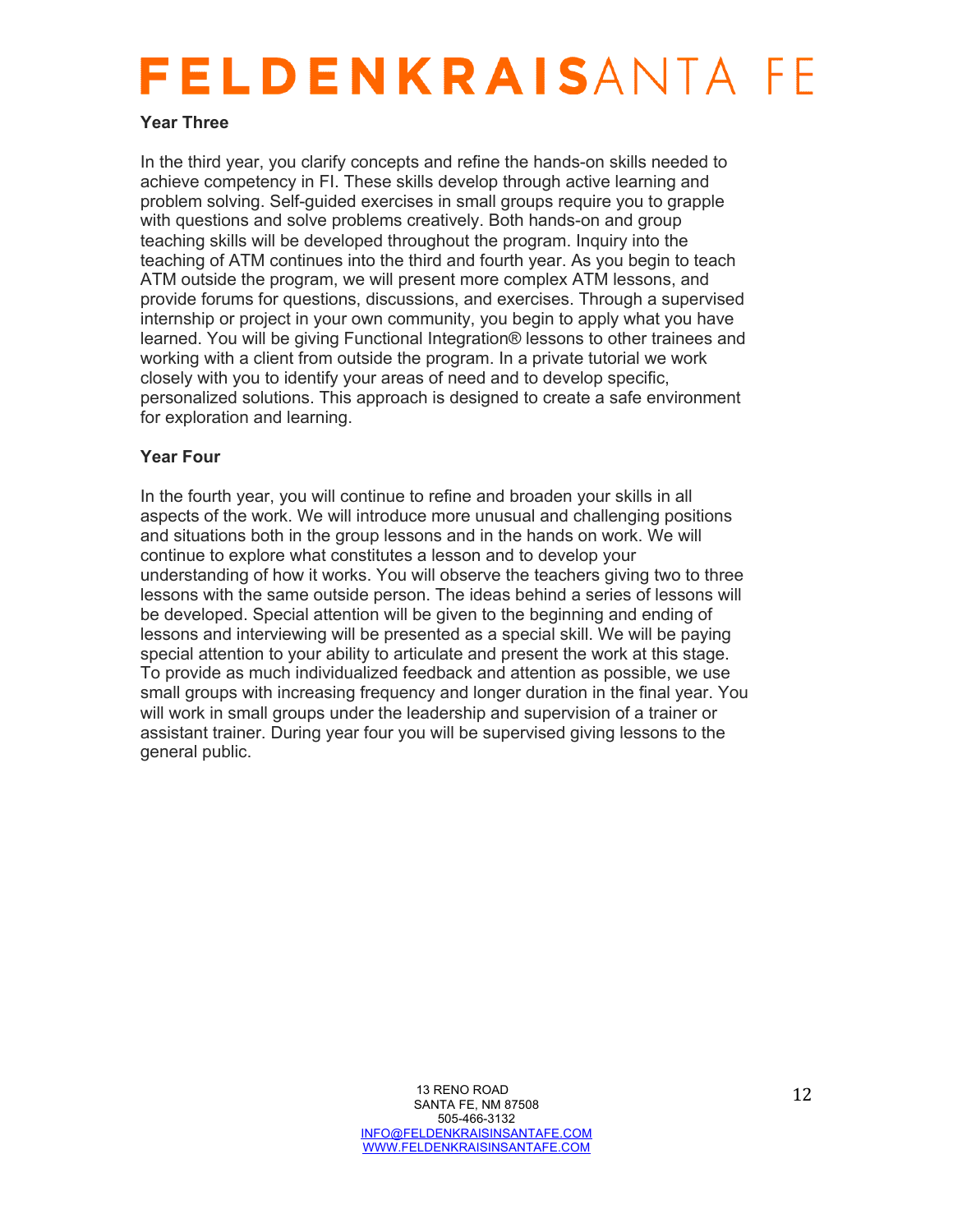#### **Year Three**

In the third year, you clarify concepts and refine the hands-on skills needed to achieve competency in FI. These skills develop through active learning and problem solving. Self-guided exercises in small groups require you to grapple with questions and solve problems creatively. Both hands-on and group teaching skills will be developed throughout the program. Inquiry into the teaching of ATM continues into the third and fourth year. As you begin to teach ATM outside the program, we will present more complex ATM lessons, and provide forums for questions, discussions, and exercises. Through a supervised internship or project in your own community, you begin to apply what you have learned. You will be giving Functional Integration® lessons to other trainees and working with a client from outside the program. In a private tutorial we work closely with you to identify your areas of need and to develop specific, personalized solutions. This approach is designed to create a safe environment for exploration and learning.

#### **Year Four**

In the fourth year, you will continue to refine and broaden your skills in all aspects of the work. We will introduce more unusual and challenging positions and situations both in the group lessons and in the hands on work. We will continue to explore what constitutes a lesson and to develop your understanding of how it works. You will observe the teachers giving two to three lessons with the same outside person. The ideas behind a series of lessons will be developed. Special attention will be given to the beginning and ending of lessons and interviewing will be presented as a special skill. We will be paying special attention to your ability to articulate and present the work at this stage. To provide as much individualized feedback and attention as possible, we use small groups with increasing frequency and longer duration in the final year. You will work in small groups under the leadership and supervision of a trainer or assistant trainer. During year four you will be supervised giving lessons to the general public.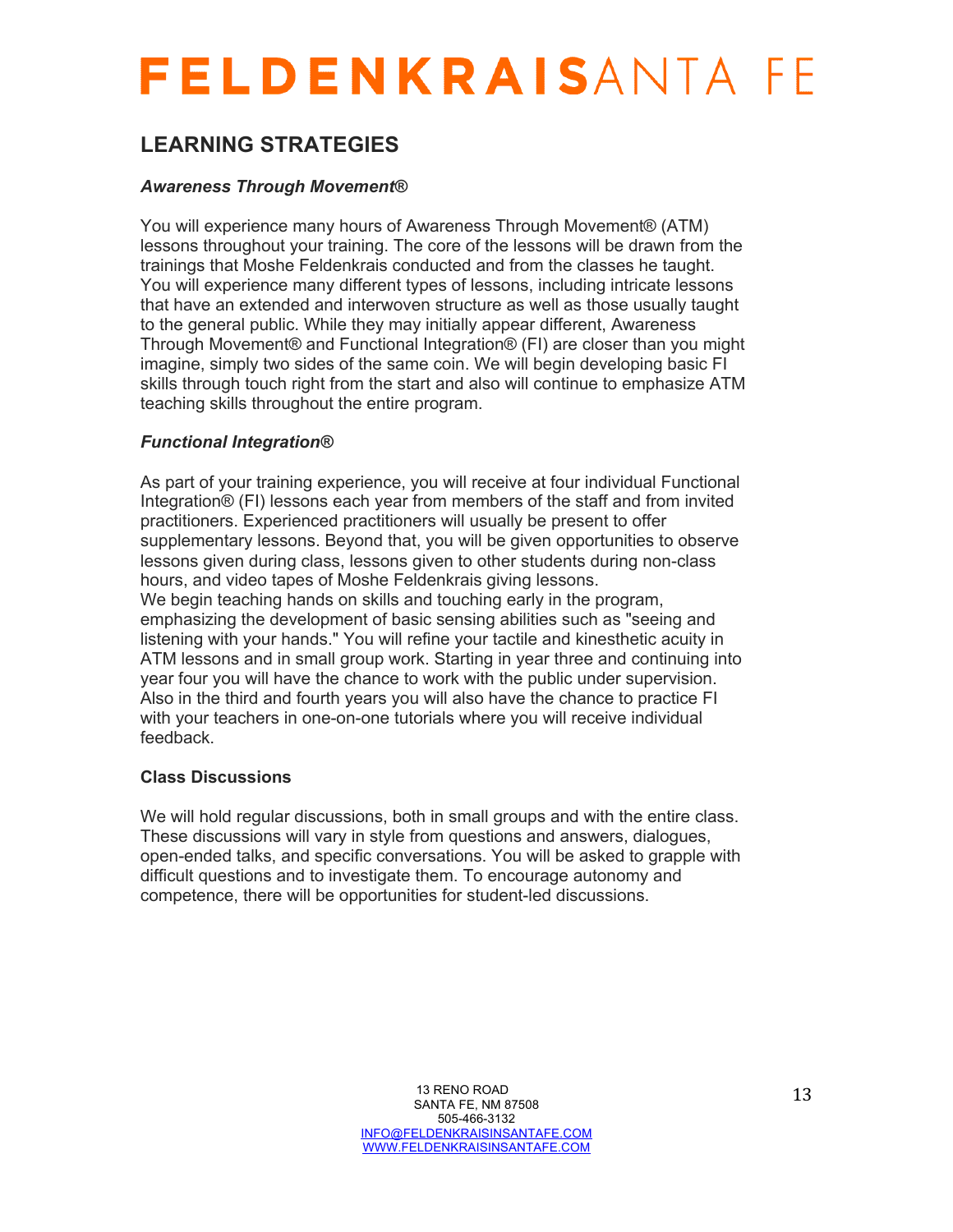### **LEARNING STRATEGIES**

#### *Awareness Through Movement®*

You will experience many hours of Awareness Through Movement® (ATM) lessons throughout your training. The core of the lessons will be drawn from the trainings that Moshe Feldenkrais conducted and from the classes he taught. You will experience many different types of lessons, including intricate lessons that have an extended and interwoven structure as well as those usually taught to the general public. While they may initially appear different, Awareness Through Movement® and Functional Integration® (FI) are closer than you might imagine, simply two sides of the same coin. We will begin developing basic FI skills through touch right from the start and also will continue to emphasize ATM teaching skills throughout the entire program.

#### *Functional Integration®*

As part of your training experience, you will receive at four individual Functional Integration® (FI) lessons each year from members of the staff and from invited practitioners. Experienced practitioners will usually be present to offer supplementary lessons. Beyond that, you will be given opportunities to observe lessons given during class, lessons given to other students during non-class hours, and video tapes of Moshe Feldenkrais giving lessons. We begin teaching hands on skills and touching early in the program, emphasizing the development of basic sensing abilities such as "seeing and listening with your hands." You will refine your tactile and kinesthetic acuity in ATM lessons and in small group work. Starting in year three and continuing into year four you will have the chance to work with the public under supervision. Also in the third and fourth years you will also have the chance to practice FI with your teachers in one-on-one tutorials where you will receive individual feedback.

#### **Class Discussions**

We will hold regular discussions, both in small groups and with the entire class. These discussions will vary in style from questions and answers, dialogues, open-ended talks, and specific conversations. You will be asked to grapple with difficult questions and to investigate them. To encourage autonomy and competence, there will be opportunities for student-led discussions.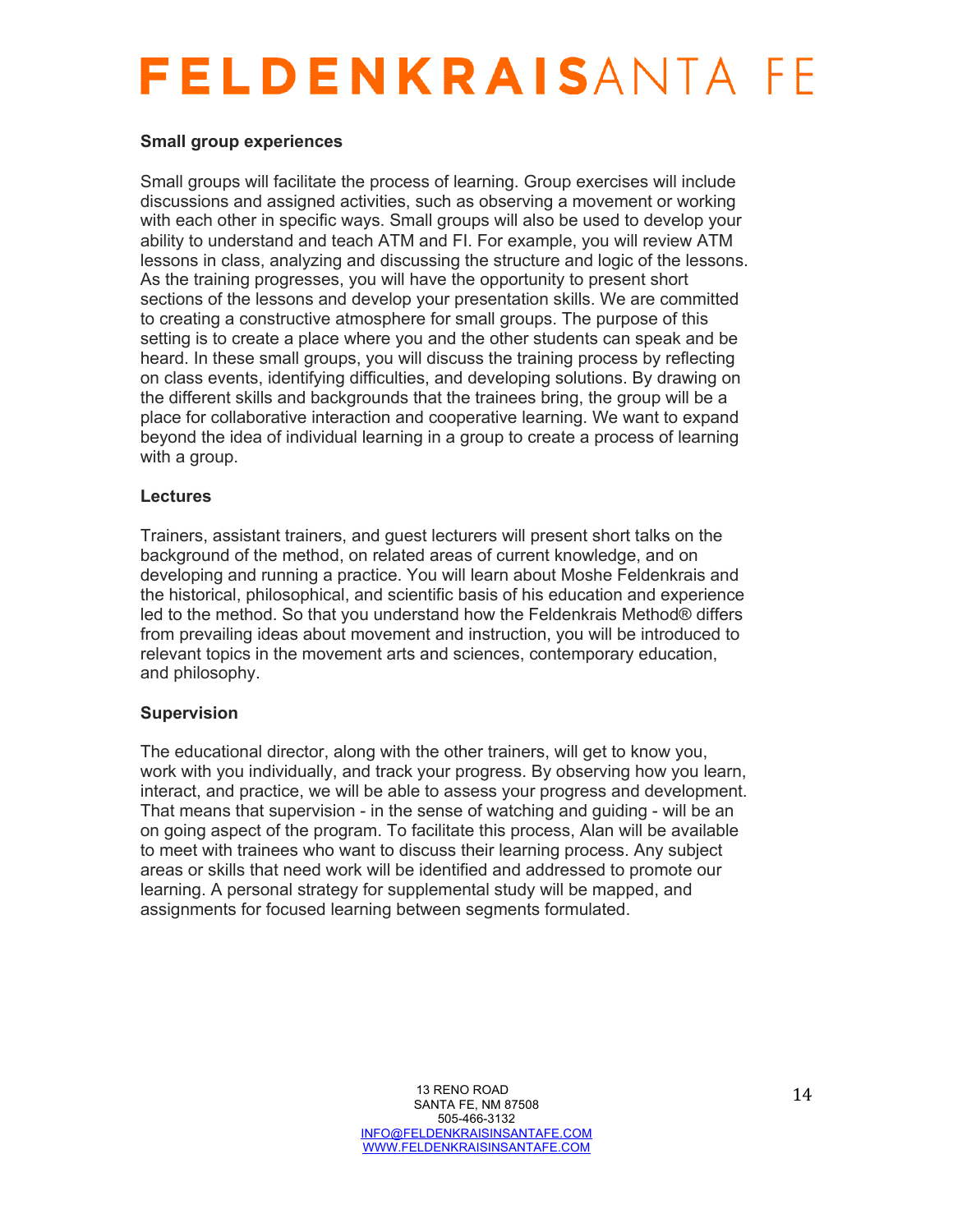#### **Small group experiences**

Small groups will facilitate the process of learning. Group exercises will include discussions and assigned activities, such as observing a movement or working with each other in specific ways. Small groups will also be used to develop your ability to understand and teach ATM and FI. For example, you will review ATM lessons in class, analyzing and discussing the structure and logic of the lessons. As the training progresses, you will have the opportunity to present short sections of the lessons and develop your presentation skills. We are committed to creating a constructive atmosphere for small groups. The purpose of this setting is to create a place where you and the other students can speak and be heard. In these small groups, you will discuss the training process by reflecting on class events, identifying difficulties, and developing solutions. By drawing on the different skills and backgrounds that the trainees bring, the group will be a place for collaborative interaction and cooperative learning. We want to expand beyond the idea of individual learning in a group to create a process of learning with a group.

#### **Lectures**

Trainers, assistant trainers, and guest lecturers will present short talks on the background of the method, on related areas of current knowledge, and on developing and running a practice. You will learn about Moshe Feldenkrais and the historical, philosophical, and scientific basis of his education and experience led to the method. So that you understand how the Feldenkrais Method® differs from prevailing ideas about movement and instruction, you will be introduced to relevant topics in the movement arts and sciences, contemporary education, and philosophy.

#### **Supervision**

The educational director, along with the other trainers, will get to know you, work with you individually, and track your progress. By observing how you learn, interact, and practice, we will be able to assess your progress and development. That means that supervision - in the sense of watching and guiding - will be an on going aspect of the program. To facilitate this process, Alan will be available to meet with trainees who want to discuss their learning process. Any subject areas or skills that need work will be identified and addressed to promote our learning. A personal strategy for supplemental study will be mapped, and assignments for focused learning between segments formulated.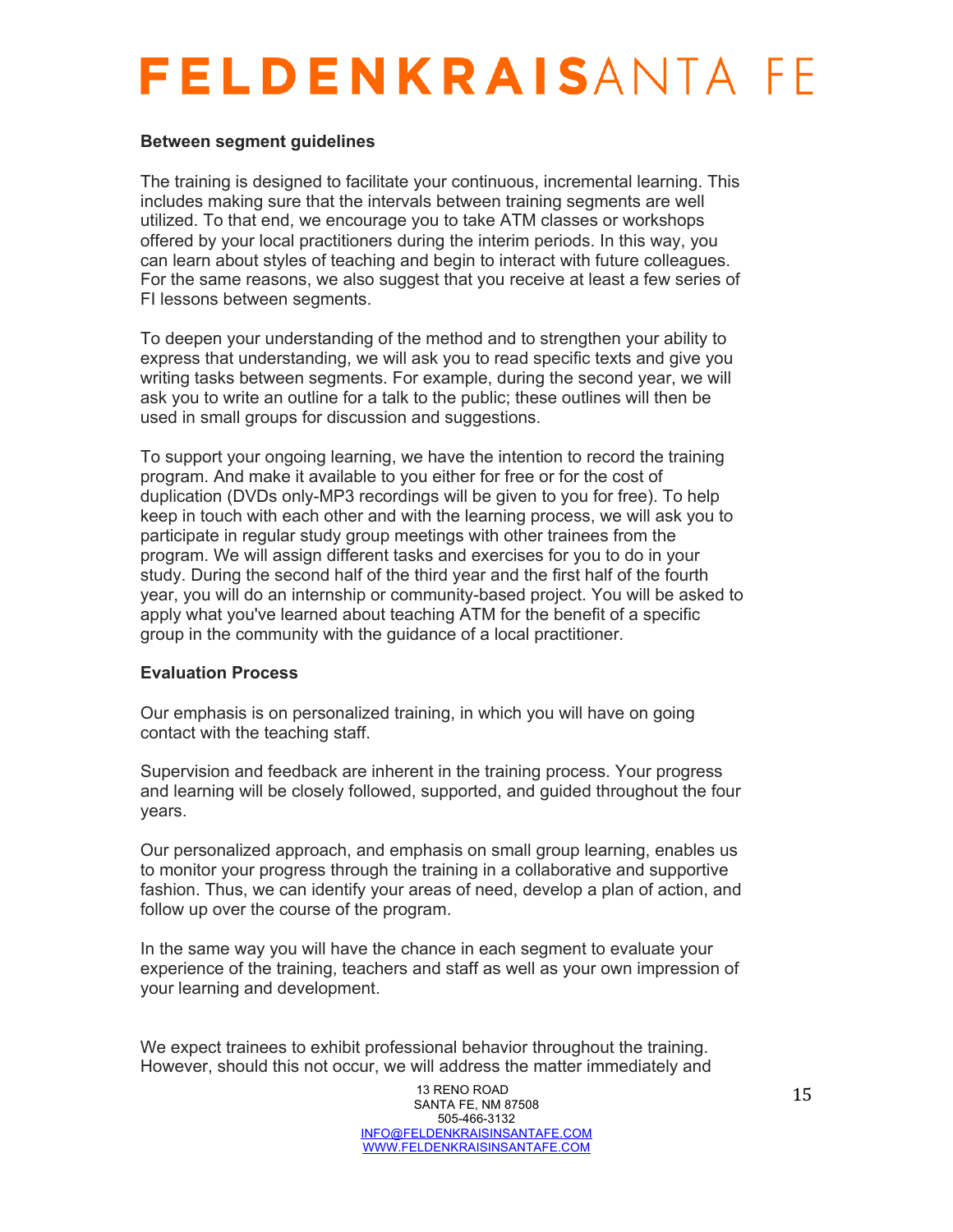#### **Between segment guidelines**

The training is designed to facilitate your continuous, incremental learning. This includes making sure that the intervals between training segments are well utilized. To that end, we encourage you to take ATM classes or workshops offered by your local practitioners during the interim periods. In this way, you can learn about styles of teaching and begin to interact with future colleagues. For the same reasons, we also suggest that you receive at least a few series of FI lessons between segments.

To deepen your understanding of the method and to strengthen your ability to express that understanding, we will ask you to read specific texts and give you writing tasks between segments. For example, during the second year, we will ask you to write an outline for a talk to the public; these outlines will then be used in small groups for discussion and suggestions.

To support your ongoing learning, we have the intention to record the training program. And make it available to you either for free or for the cost of duplication (DVDs only-MP3 recordings will be given to you for free). To help keep in touch with each other and with the learning process, we will ask you to participate in regular study group meetings with other trainees from the program. We will assign different tasks and exercises for you to do in your study. During the second half of the third year and the first half of the fourth year, you will do an internship or community-based project. You will be asked to apply what you've learned about teaching ATM for the benefit of a specific group in the community with the guidance of a local practitioner.

#### **Evaluation Process**

Our emphasis is on personalized training, in which you will have on going contact with the teaching staff.

Supervision and feedback are inherent in the training process. Your progress and learning will be closely followed, supported, and guided throughout the four years.

Our personalized approach, and emphasis on small group learning, enables us to monitor your progress through the training in a collaborative and supportive fashion. Thus, we can identify your areas of need, develop a plan of action, and follow up over the course of the program.

In the same way you will have the chance in each segment to evaluate your experience of the training, teachers and staff as well as your own impression of your learning and development.

We expect trainees to exhibit professional behavior throughout the training. However, should this not occur, we will address the matter immediately and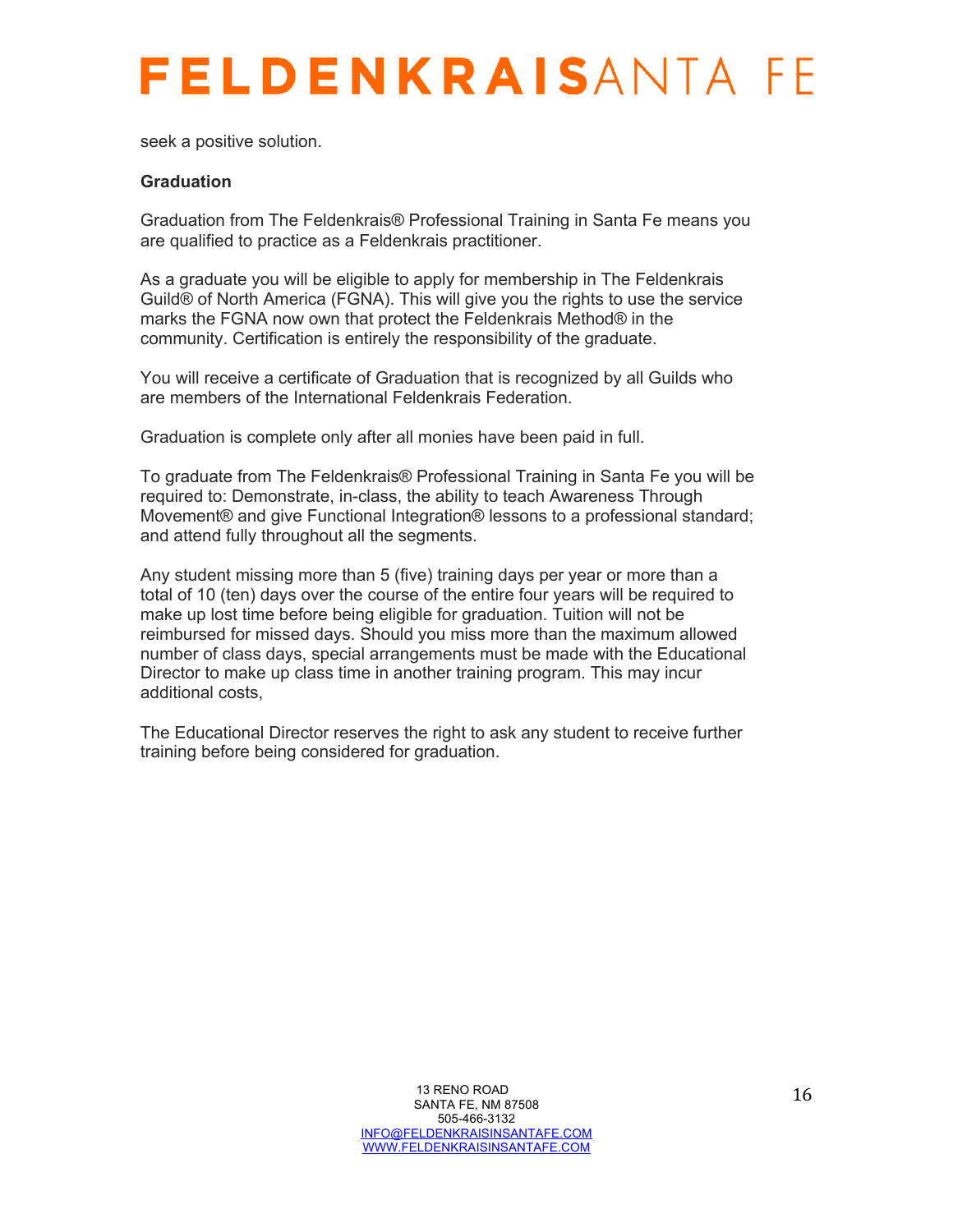seek a positive solution.

#### **Graduation**

Graduation from The Feldenkrais® Professional Training in Santa Fe means you are qualified to practice as a Feldenkrais practitioner.

As a graduate you will be eligible to apply for membership in The Feldenkrais Guild® of North America (FGNA). This will give you the rights to use the service marks the FGNA now own that protect the Feldenkrais Method® in the community. Certification is entirely the responsibility of the graduate.

You will receive a certificate of Graduation that is recognized by all Guilds who are members of the International Feldenkrais Federation.

Graduation is complete only after all monies have been paid in full.

To graduate from The Feldenkrais® Professional Training in Santa Fe you will be required to: Demonstrate, in-class, the ability to teach Awareness Through Movement® and give Functional Integration® lessons to a professional standard; and attend fully throughout all the segments.

Any student missing more than 5 (five) training days per year or more than a total of 10 (ten) days over the course of the entire four years will be required to make up lost time before being eligible for graduation. Tuition will not be reimbursed for missed days. Should you miss more than the maximum allowed number of class days, special arrangements must be made with the Educational Director to make up class time in another training program. This may incur additional costs,

The Educational Director reserves the right to ask any student to receive further training before being considered for graduation.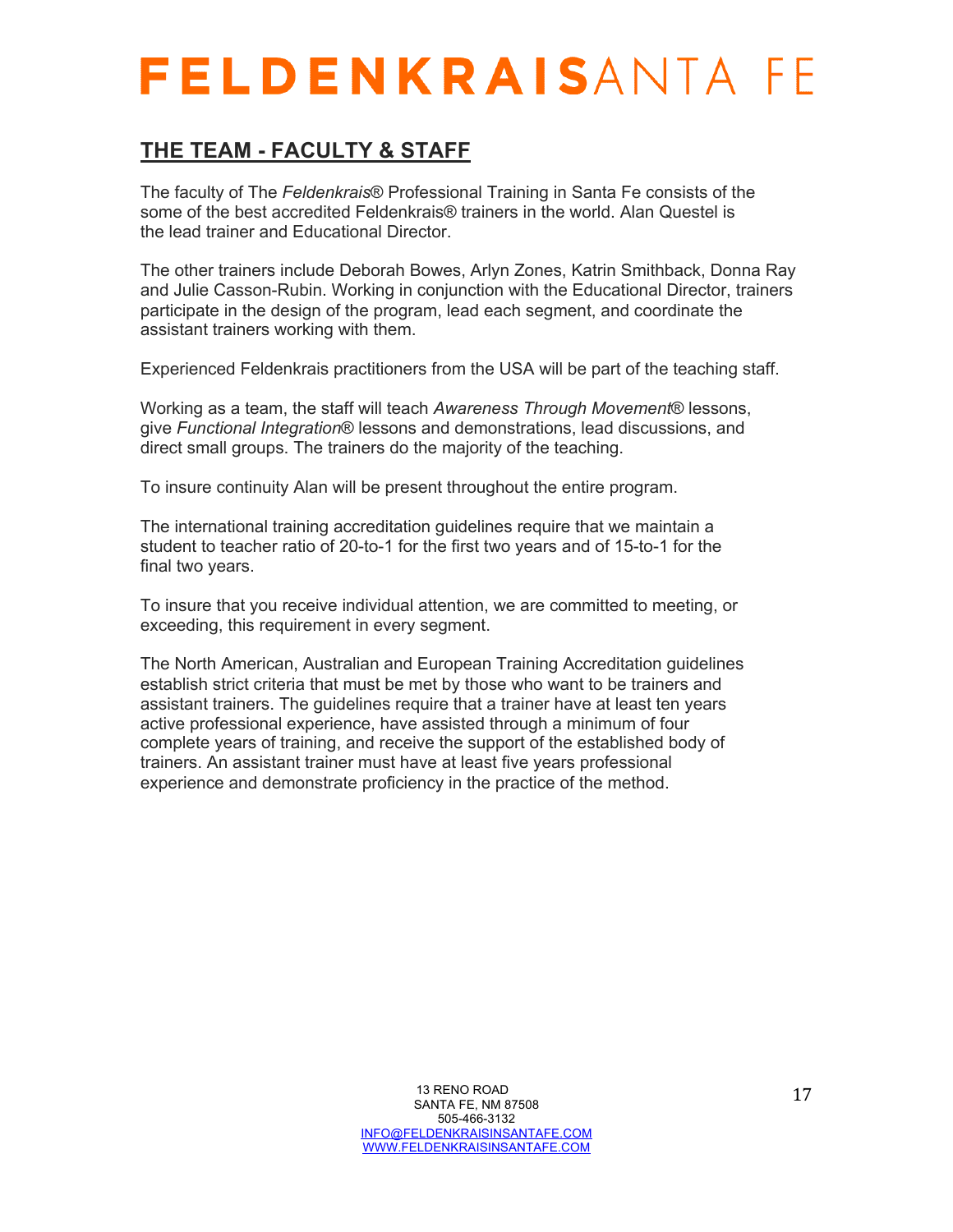### **THE TEAM - FACULTY & STAFF**

The faculty of The *Feldenkrais*® Professional Training in Santa Fe consists of the some of the best accredited Feldenkrais® trainers in the world. Alan Questel is the lead trainer and Educational Director.

The other trainers include Deborah Bowes, Arlyn Zones, Katrin Smithback, Donna Ray and Julie Casson-Rubin. Working in conjunction with the Educational Director, trainers participate in the design of the program, lead each segment, and coordinate the assistant trainers working with them.

Experienced Feldenkrais practitioners from the USA will be part of the teaching staff.

Working as a team, the staff will teach *Awareness Through Movement*® lessons, give *Functional Integration*® lessons and demonstrations, lead discussions, and direct small groups. The trainers do the majority of the teaching.

To insure continuity Alan will be present throughout the entire program.

The international training accreditation guidelines require that we maintain a student to teacher ratio of 20-to-1 for the first two years and of 15-to-1 for the final two years.

To insure that you receive individual attention, we are committed to meeting, or exceeding, this requirement in every segment.

The North American, Australian and European Training Accreditation guidelines establish strict criteria that must be met by those who want to be trainers and assistant trainers. The guidelines require that a trainer have at least ten years active professional experience, have assisted through a minimum of four complete years of training, and receive the support of the established body of trainers. An assistant trainer must have at least five years professional experience and demonstrate proficiency in the practice of the method.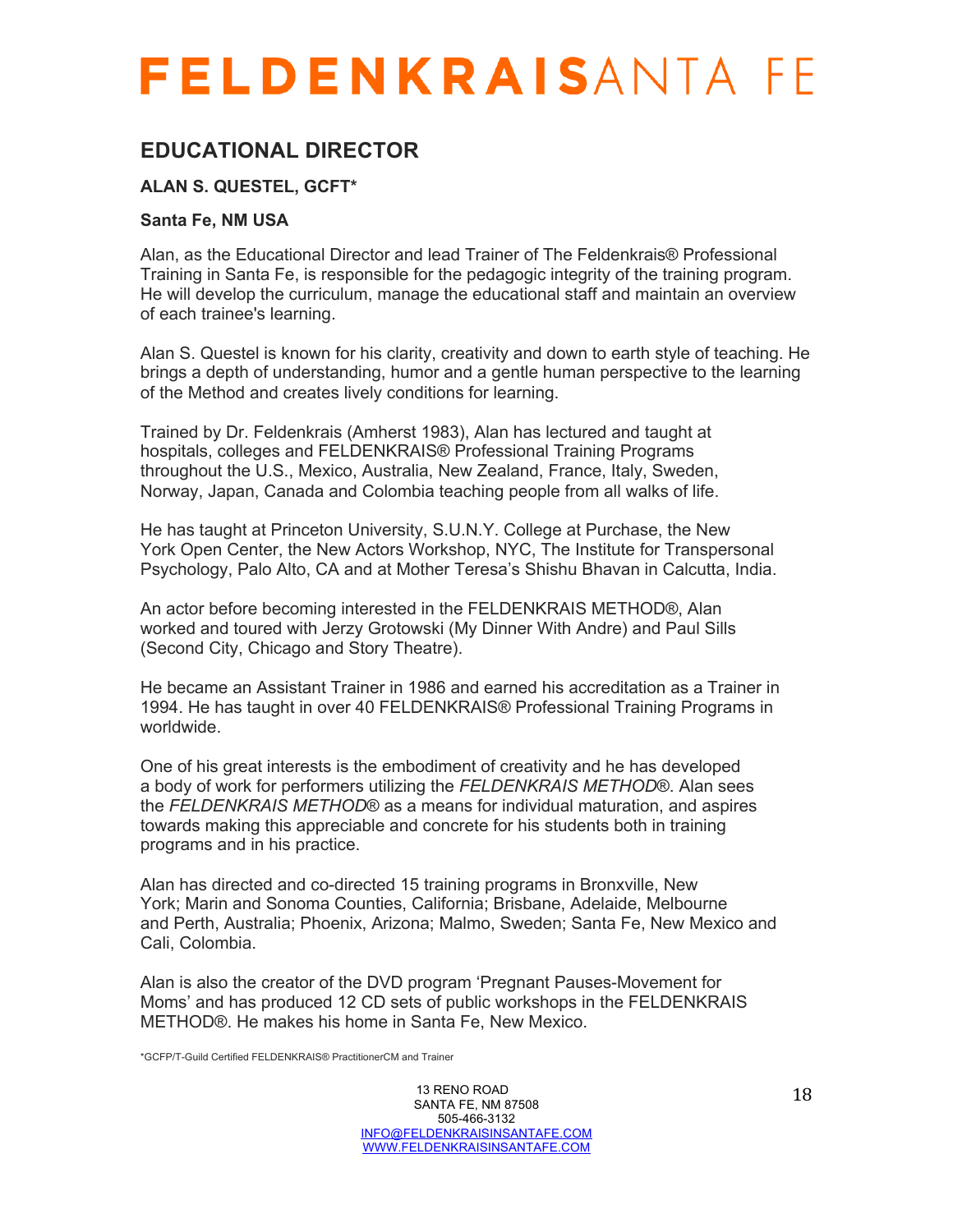### **EDUCATIONAL DIRECTOR**

#### **ALAN S. QUESTEL, GCFT\***

#### **Santa Fe, NM USA**

Alan, as the Educational Director and lead Trainer of The Feldenkrais® Professional Training in Santa Fe, is responsible for the pedagogic integrity of the training program. He will develop the curriculum, manage the educational staff and maintain an overview of each trainee's learning.

Alan S. Questel is known for his clarity, creativity and down to earth style of teaching. He brings a depth of understanding, humor and a gentle human perspective to the learning of the Method and creates lively conditions for learning.

Trained by Dr. Feldenkrais (Amherst 1983), Alan has lectured and taught at hospitals, colleges and FELDENKRAIS® Professional Training Programs throughout the U.S., Mexico, Australia, New Zealand, France, Italy, Sweden, Norway, Japan, Canada and Colombia teaching people from all walks of life.

He has taught at Princeton University, S.U.N.Y. College at Purchase, the New York Open Center, the New Actors Workshop, NYC, The Institute for Transpersonal Psychology, Palo Alto, CA and at Mother Teresa's Shishu Bhavan in Calcutta, India.

An actor before becoming interested in the FELDENKRAIS METHOD®, Alan worked and toured with Jerzy Grotowski (My Dinner With Andre) and Paul Sills (Second City, Chicago and Story Theatre).

He became an Assistant Trainer in 1986 and earned his accreditation as a Trainer in 1994. He has taught in over 40 FELDENKRAIS® Professional Training Programs in worldwide.

One of his great interests is the embodiment of creativity and he has developed a body of work for performers utilizing the *FELDENKRAIS METHOD*®. Alan sees the *FELDENKRAIS METHOD*® as a means for individual maturation, and aspires towards making this appreciable and concrete for his students both in training programs and in his practice.

Alan has directed and co-directed 15 training programs in Bronxville, New York; Marin and Sonoma Counties, California; Brisbane, Adelaide, Melbourne and Perth, Australia; Phoenix, Arizona; Malmo, Sweden; Santa Fe, New Mexico and Cali, Colombia.

Alan is also the creator of the DVD program 'Pregnant Pauses-Movement for Moms' and has produced 12 CD sets of public workshops in the FELDENKRAIS METHOD®. He makes his home in Santa Fe, New Mexico.

\*GCFP/T-Guild Certified FELDENKRAIS® PractitionerCM and Trainer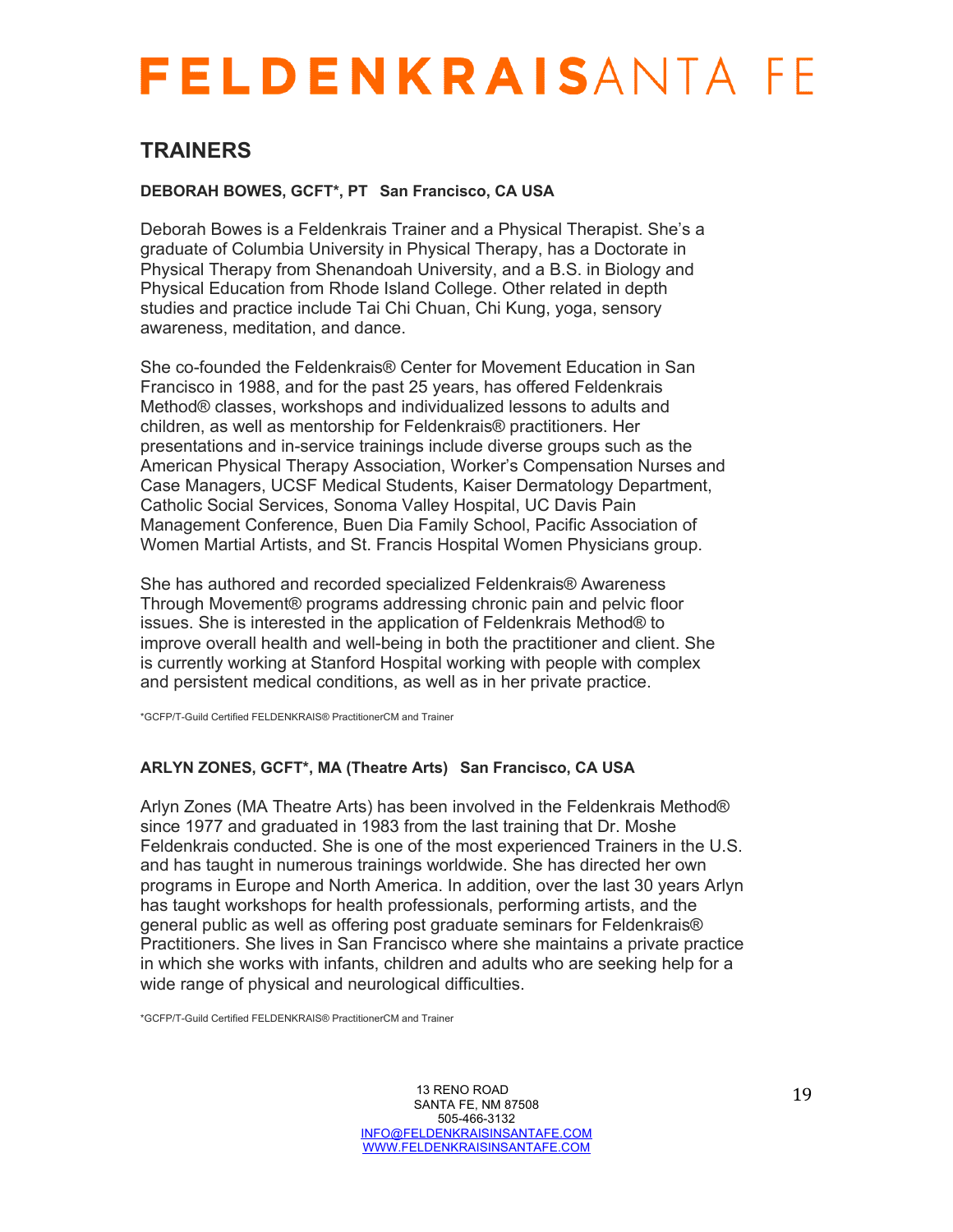### **TRAINERS**

#### **DEBORAH BOWES, GCFT\*, PT San Francisco, CA USA**

Deborah Bowes is a Feldenkrais Trainer and a Physical Therapist. She's a graduate of Columbia University in Physical Therapy, has a Doctorate in Physical Therapy from Shenandoah University, and a B.S. in Biology and Physical Education from Rhode Island College. Other related in depth studies and practice include Tai Chi Chuan, Chi Kung, yoga, sensory awareness, meditation, and dance.

She co-founded the Feldenkrais® Center for Movement Education in San Francisco in 1988, and for the past 25 years, has offered Feldenkrais Method® classes, workshops and individualized lessons to adults and children, as well as mentorship for Feldenkrais® practitioners. Her presentations and in-service trainings include diverse groups such as the American Physical Therapy Association, Worker's Compensation Nurses and Case Managers, UCSF Medical Students, Kaiser Dermatology Department, Catholic Social Services, Sonoma Valley Hospital, UC Davis Pain Management Conference, Buen Dia Family School, Pacific Association of Women Martial Artists, and St. Francis Hospital Women Physicians group.

She has authored and recorded specialized Feldenkrais® Awareness Through Movement® programs addressing chronic pain and pelvic floor issues. She is interested in the application of Feldenkrais Method® to improve overall health and well-being in both the practitioner and client. She is currently working at Stanford Hospital working with people with complex and persistent medical conditions, as well as in her private practice.

\*GCFP/T-Guild Certified FELDENKRAIS® PractitionerCM and Trainer

#### **ARLYN ZONES, GCFT\*, MA (Theatre Arts) San Francisco, CA USA**

Arlyn Zones (MA Theatre Arts) has been involved in the Feldenkrais Method® since 1977 and graduated in 1983 from the last training that Dr. Moshe Feldenkrais conducted. She is one of the most experienced Trainers in the U.S. and has taught in numerous trainings worldwide. She has directed her own programs in Europe and North America. In addition, over the last 30 years Arlyn has taught workshops for health professionals, performing artists, and the general public as well as offering post graduate seminars for Feldenkrais® Practitioners. She lives in San Francisco where she maintains a private practice in which she works with infants, children and adults who are seeking help for a wide range of physical and neurological difficulties.

\*GCFP/T-Guild Certified FELDENKRAIS® PractitionerCM and Trainer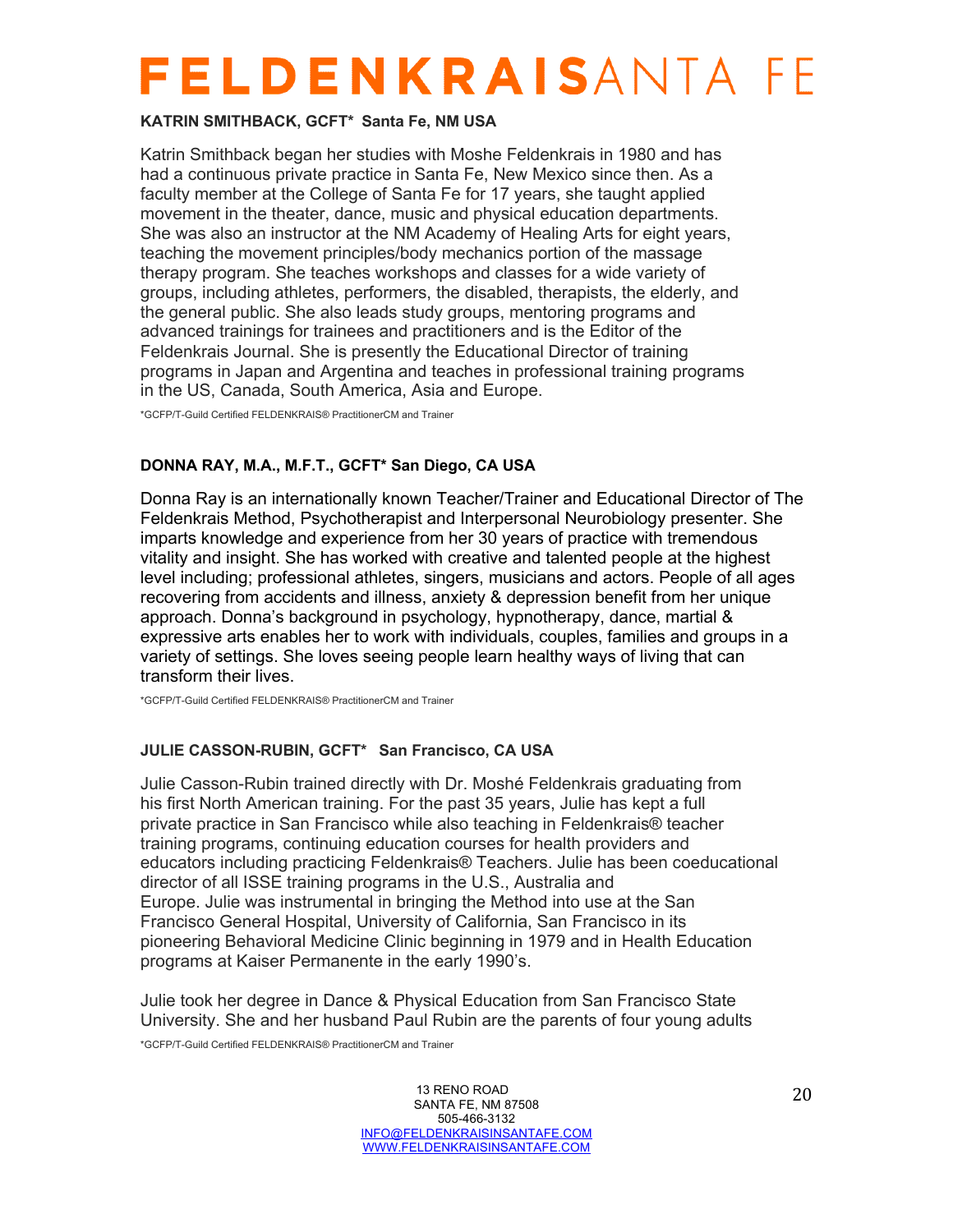#### **KATRIN SMITHBACK, GCFT\* Santa Fe, NM USA**

Katrin Smithback began her studies with Moshe Feldenkrais in 1980 and has had a continuous private practice in Santa Fe, New Mexico since then. As a faculty member at the College of Santa Fe for 17 years, she taught applied movement in the theater, dance, music and physical education departments. She was also an instructor at the NM Academy of Healing Arts for eight years, teaching the movement principles/body mechanics portion of the massage therapy program. She teaches workshops and classes for a wide variety of groups, including athletes, performers, the disabled, therapists, the elderly, and the general public. She also leads study groups, mentoring programs and advanced trainings for trainees and practitioners and is the Editor of the Feldenkrais Journal. She is presently the Educational Director of training programs in Japan and Argentina and teaches in professional training programs in the US, Canada, South America, Asia and Europe.

\*GCFP/T-Guild Certified FELDENKRAIS® PractitionerCM and Trainer

#### **DONNA RAY, M.A., M.F.T., GCFT\* San Diego, CA USA**

Donna Ray is an internationally known Teacher/Trainer and Educational Director of The Feldenkrais Method, Psychotherapist and Interpersonal Neurobiology presenter. She imparts knowledge and experience from her 30 years of practice with tremendous vitality and insight. She has worked with creative and talented people at the highest level including; professional athletes, singers, musicians and actors. People of all ages recovering from accidents and illness, anxiety & depression benefit from her unique approach. Donna's background in psychology, hypnotherapy, dance, martial & expressive arts enables her to work with individuals, couples, families and groups in a variety of settings. She loves seeing people learn healthy ways of living that can transform their lives.

\*GCFP/T-Guild Certified FELDENKRAIS® PractitionerCM and Trainer

#### **JULIE CASSON-RUBIN, GCFT\* San Francisco, CA USA**

Julie Casson-Rubin trained directly with Dr. Moshé Feldenkrais graduating from his first North American training. For the past 35 years, Julie has kept a full private practice in San Francisco while also teaching in Feldenkrais® teacher training programs, continuing education courses for health providers and educators including practicing Feldenkrais® Teachers. Julie has been coeducational director of all ISSE training programs in the U.S., Australia and Europe. Julie was instrumental in bringing the Method into use at the San Francisco General Hospital, University of California, San Francisco in its pioneering Behavioral Medicine Clinic beginning in 1979 and in Health Education programs at Kaiser Permanente in the early 1990's.

Julie took her degree in Dance & Physical Education from San Francisco State University. She and her husband Paul Rubin are the parents of four young adults

\*GCFP/T-Guild Certified FELDENKRAIS® PractitionerCM and Trainer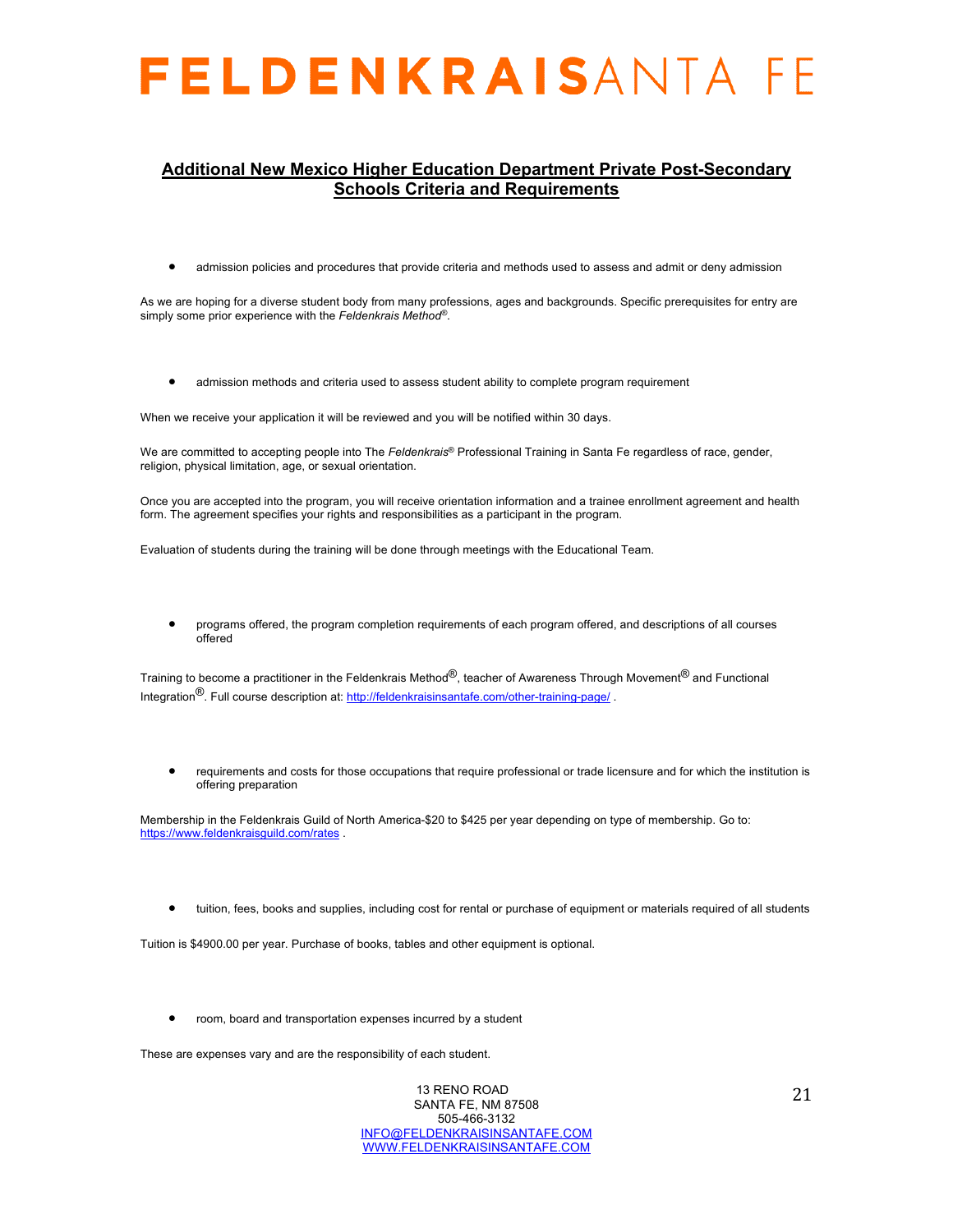#### **Additional New Mexico Higher Education Department Private Post-Secondary Schools Criteria and Requirements**

• admission policies and procedures that provide criteria and methods used to assess and admit or deny admission

As we are hoping for a diverse student body from many professions, ages and backgrounds. Specific prerequisites for entry are simply some prior experience with the *Feldenkrais Method®*.

• admission methods and criteria used to assess student ability to complete program requirement

When we receive your application it will be reviewed and you will be notified within 30 days.

We are committed to accepting people into The *Feldenkrais*® Professional Training in Santa Fe regardless of race, gender, religion, physical limitation, age, or sexual orientation.

Once you are accepted into the program, you will receive orientation information and a trainee enrollment agreement and health form. The agreement specifies your rights and responsibilities as a participant in the program.

Evaluation of students during the training will be done through meetings with the Educational Team.

• programs offered, the program completion requirements of each program offered, and descriptions of all courses offered

Training to become a practitioner in the Feldenkrais Method<sup>®</sup>, teacher of Awareness Through Movement<sup>®</sup> and Functional Integration<sup>®</sup>. Full course description at: http://feldenkraisinsantafe.com/other-training-page/

• requirements and costs for those occupations that require professional or trade licensure and for which the institution is offering preparation

Membership in the Feldenkrais Guild of North America-\$20 to \$425 per year depending on type of membership. Go to: https://www.feldenkraisguild.com/rates

tuition, fees, books and supplies, including cost for rental or purchase of equipment or materials required of all students

Tuition is \$4900.00 per year. Purchase of books, tables and other equipment is optional.

• room, board and transportation expenses incurred by a student

These are expenses vary and are the responsibility of each student.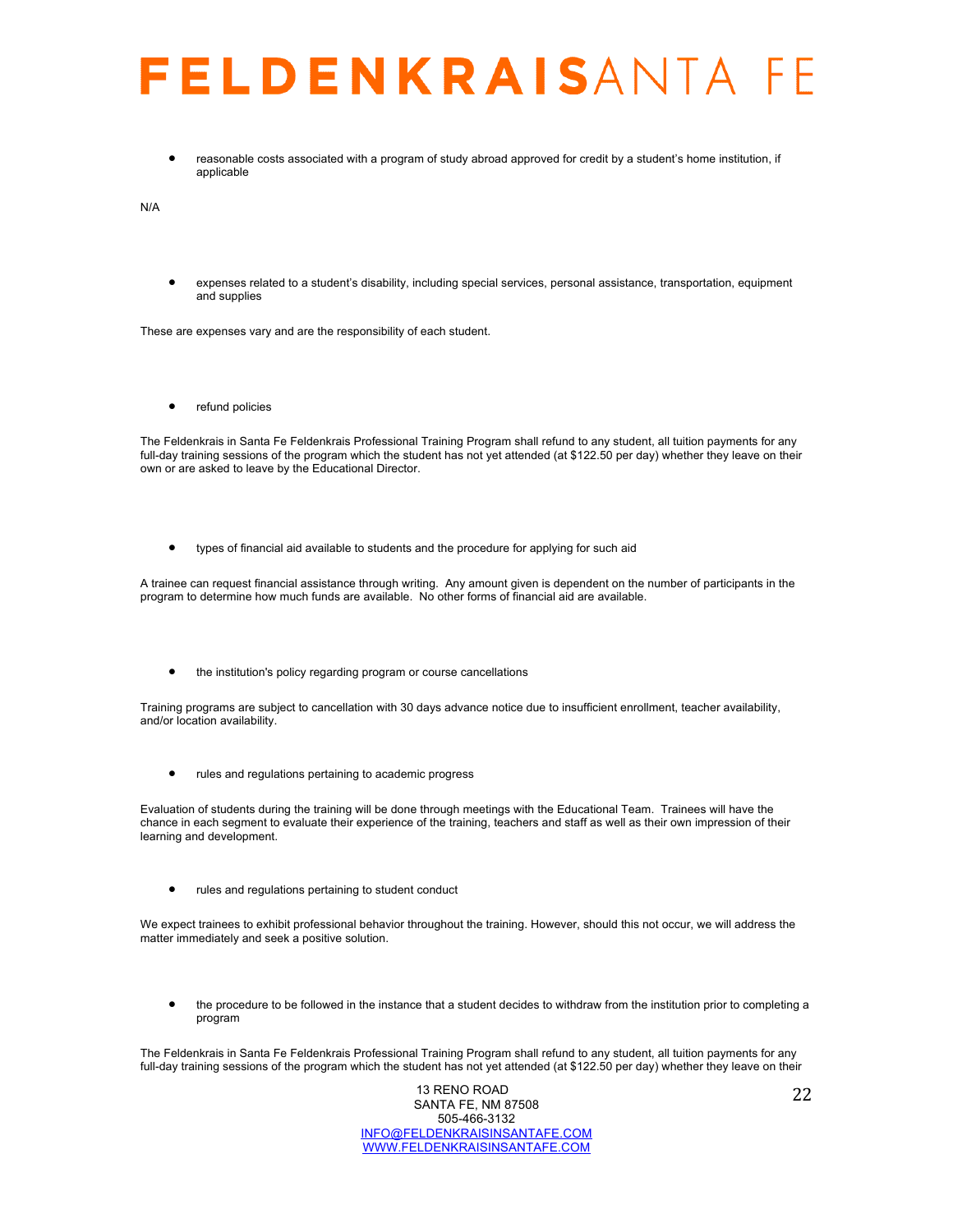• reasonable costs associated with a program of study abroad approved for credit by a student's home institution, if applicable

N/A

• expenses related to a student's disability, including special services, personal assistance, transportation, equipment and supplies

These are expenses vary and are the responsibility of each student.

• refund policies

The Feldenkrais in Santa Fe Feldenkrais Professional Training Program shall refund to any student, all tuition payments for any full-day training sessions of the program which the student has not yet attended (at \$122.50 per day) whether they leave on their own or are asked to leave by the Educational Director.

• types of financial aid available to students and the procedure for applying for such aid

A trainee can request financial assistance through writing. Any amount given is dependent on the number of participants in the program to determine how much funds are available. No other forms of financial aid are available.

• the institution's policy regarding program or course cancellations

Training programs are subject to cancellation with 30 days advance notice due to insufficient enrollment, teacher availability, and/or location availability.

• rules and regulations pertaining to academic progress

Evaluation of students during the training will be done through meetings with the Educational Team. Trainees will have the chance in each segment to evaluate their experience of the training, teachers and staff as well as their own impression of their learning and development.

• rules and regulations pertaining to student conduct

We expect trainees to exhibit professional behavior throughout the training. However, should this not occur, we will address the matter immediately and seek a positive solution.

• the procedure to be followed in the instance that a student decides to withdraw from the institution prior to completing a program

The Feldenkrais in Santa Fe Feldenkrais Professional Training Program shall refund to any student, all tuition payments for any full-day training sessions of the program which the student has not yet attended (at \$122.50 per day) whether they leave on their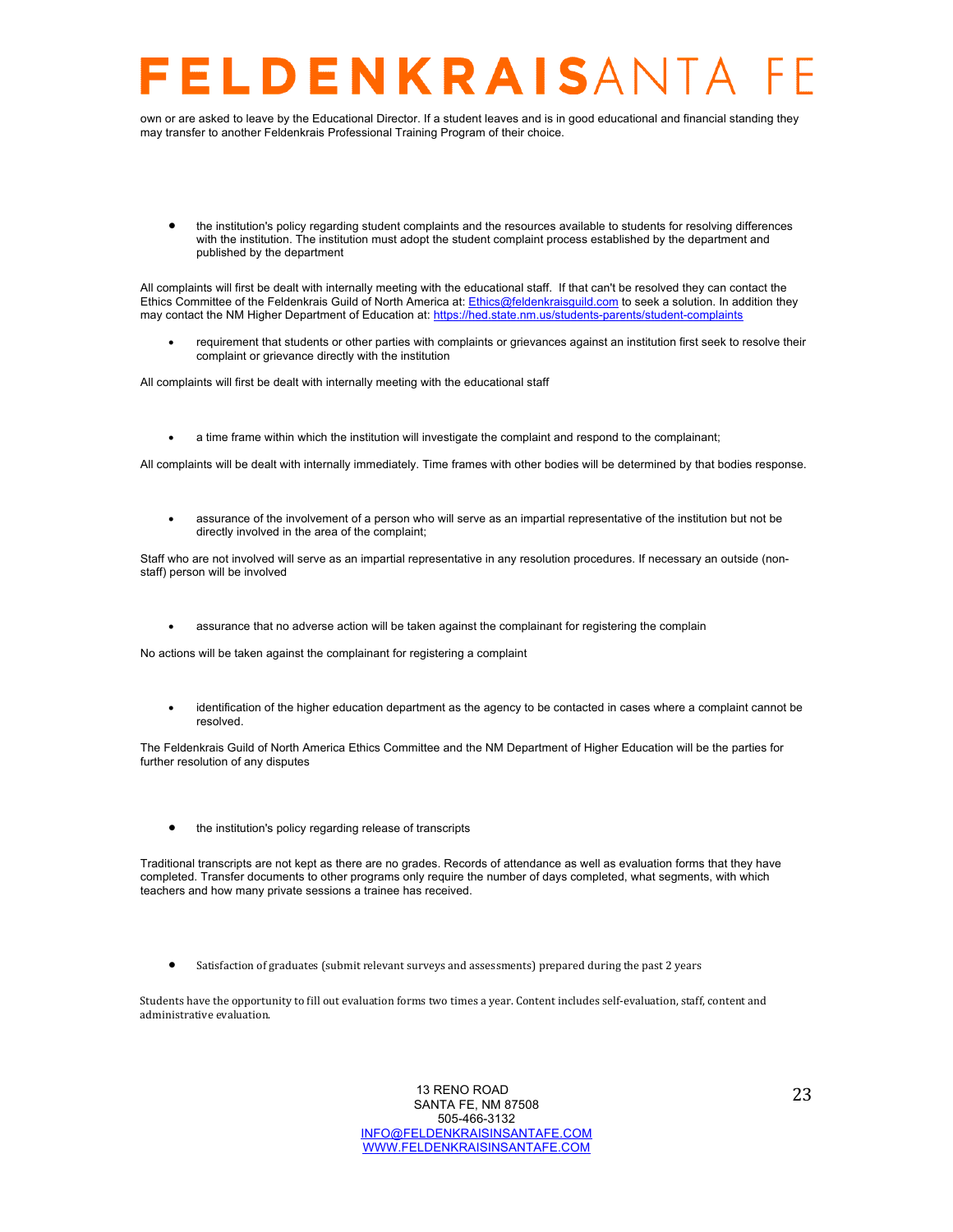## LDENKRAISANTA

own or are asked to leave by the Educational Director. If a student leaves and is in good educational and financial standing they may transfer to another Feldenkrais Professional Training Program of their choice.

• the institution's policy regarding student complaints and the resources available to students for resolving differences with the institution. The institution must adopt the student complaint process established by the department and published by the department

All complaints will first be dealt with internally meeting with the educational staff. If that can't be resolved they can contact the Ethics Committee of the Feldenkrais Guild of North America at: Ethics@feldenkraisguild.com to seek a solution. In addition they may contact the NM Higher Department of Education at: https://hed.state.nm.us/students-parents/student-complaints

• requirement that students or other parties with complaints or grievances against an institution first seek to resolve their complaint or grievance directly with the institution

All complaints will first be dealt with internally meeting with the educational staff

• a time frame within which the institution will investigate the complaint and respond to the complainant;

All complaints will be dealt with internally immediately. Time frames with other bodies will be determined by that bodies response.

• assurance of the involvement of a person who will serve as an impartial representative of the institution but not be directly involved in the area of the complaint;

Staff who are not involved will serve as an impartial representative in any resolution procedures. If necessary an outside (nonstaff) person will be involved

• assurance that no adverse action will be taken against the complainant for registering the complain

No actions will be taken against the complainant for registering a complaint

• identification of the higher education department as the agency to be contacted in cases where a complaint cannot be resolved.

The Feldenkrais Guild of North America Ethics Committee and the NM Department of Higher Education will be the parties for further resolution of any disputes

• the institution's policy regarding release of transcripts

Traditional transcripts are not kept as there are no grades. Records of attendance as well as evaluation forms that they have completed. Transfer documents to other programs only require the number of days completed, what segments, with which teachers and how many private sessions a trainee has received.

Satisfaction of graduates (submit relevant surveys and assessments) prepared during the past 2 years

Students have the opportunity to fill out evaluation forms two times a year. Content includes self-evaluation, staff, content and administrative evaluation.